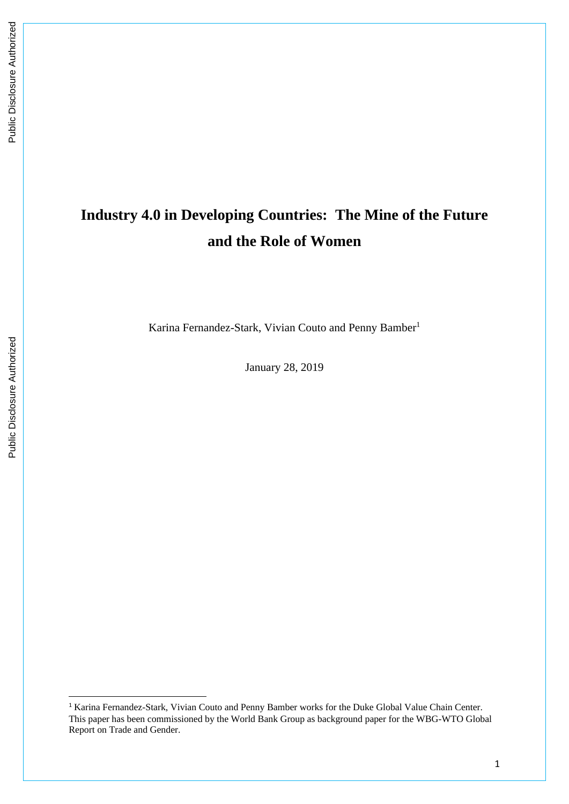# **Industry 4.0 in Developing Countries: The Mine of the Future and the Role of Women**

Karina Fernandez-Stark, Vivian Couto and Penny Bamber<sup>1</sup>

January 28, 2019

<sup>1</sup> Karina Fernandez-Stark, Vivian Couto and Penny Bamber works for the Duke Global Value Chain Center. This paper has been commissioned by the World Bank Group as background paper for the WBG-WTO Global Report on Trade and Gender.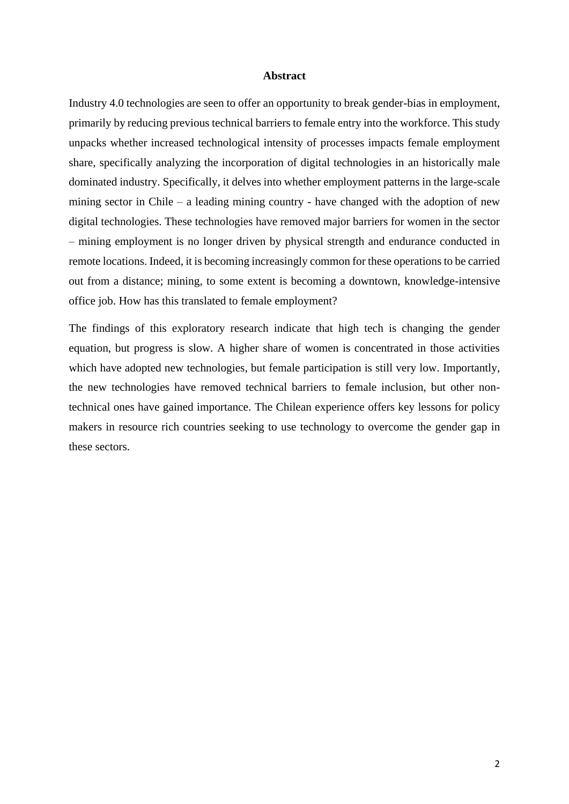#### **Abstract**

Industry 4.0 technologies are seen to offer an opportunity to break gender-bias in employment, primarily by reducing previous technical barriers to female entry into the workforce. This study unpacks whether increased technological intensity of processes impacts female employment share, specifically analyzing the incorporation of digital technologies in an historically male dominated industry. Specifically, it delves into whether employment patterns in the large-scale mining sector in Chile – a leading mining country - have changed with the adoption of new digital technologies. These technologies have removed major barriers for women in the sector – mining employment is no longer driven by physical strength and endurance conducted in remote locations. Indeed, it is becoming increasingly common for these operations to be carried out from a distance; mining, to some extent is becoming a downtown, knowledge-intensive office job. How has this translated to female employment?

The findings of this exploratory research indicate that high tech is changing the gender equation, but progress is slow. A higher share of women is concentrated in those activities which have adopted new technologies, but female participation is still very low. Importantly, the new technologies have removed technical barriers to female inclusion, but other nontechnical ones have gained importance. The Chilean experience offers key lessons for policy makers in resource rich countries seeking to use technology to overcome the gender gap in these sectors.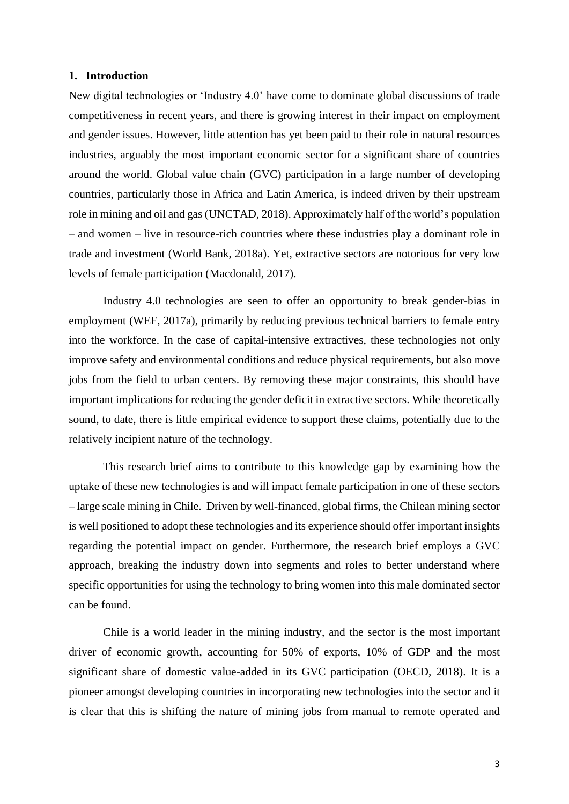### **1. Introduction**

New digital technologies or 'Industry 4.0' have come to dominate global discussions of trade competitiveness in recent years, and there is growing interest in their impact on employment and gender issues. However, little attention has yet been paid to their role in natural resources industries, arguably the most important economic sector for a significant share of countries around the world. Global value chain (GVC) participation in a large number of developing countries, particularly those in Africa and Latin America, is indeed driven by their upstream role in mining and oil and gas (UNCTAD, 2018). Approximately half of the world's population – and women – live in resource-rich countries where these industries play a dominant role in trade and investment (World Bank, 2018a). Yet, extractive sectors are notorious for very low levels of female participation (Macdonald, 2017).

Industry 4.0 technologies are seen to offer an opportunity to break gender-bias in employment (WEF, 2017a), primarily by reducing previous technical barriers to female entry into the workforce. In the case of capital-intensive extractives, these technologies not only improve safety and environmental conditions and reduce physical requirements, but also move jobs from the field to urban centers. By removing these major constraints, this should have important implications for reducing the gender deficit in extractive sectors. While theoretically sound, to date, there is little empirical evidence to support these claims, potentially due to the relatively incipient nature of the technology.

This research brief aims to contribute to this knowledge gap by examining how the uptake of these new technologies is and will impact female participation in one of these sectors – large scale mining in Chile. Driven by well-financed, global firms, the Chilean mining sector is well positioned to adopt these technologies and its experience should offer important insights regarding the potential impact on gender. Furthermore, the research brief employs a GVC approach, breaking the industry down into segments and roles to better understand where specific opportunities for using the technology to bring women into this male dominated sector can be found.

Chile is a world leader in the mining industry, and the sector is the most important driver of economic growth, accounting for 50% of exports, 10% of GDP and the most significant share of domestic value-added in its GVC participation (OECD, 2018). It is a pioneer amongst developing countries in incorporating new technologies into the sector and it is clear that this is shifting the nature of mining jobs from manual to remote operated and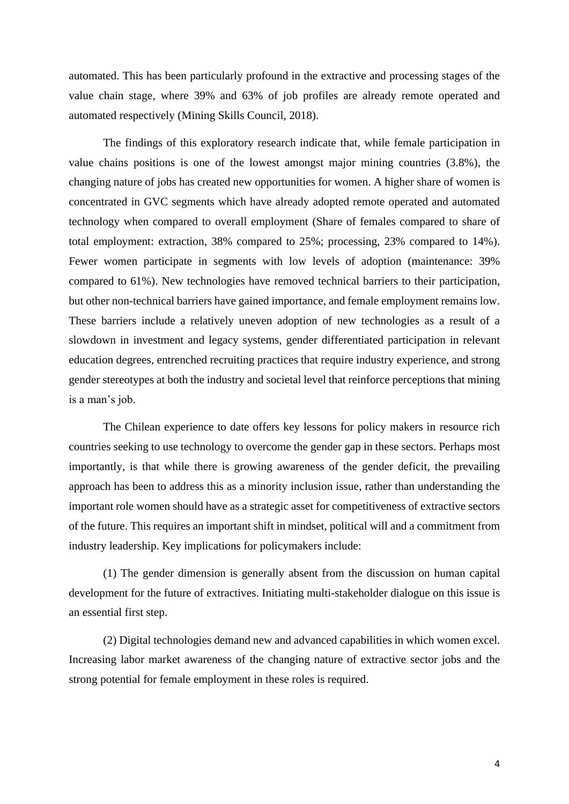automated. This has been particularly profound in the extractive and processing stages of the value chain stage, where 39% and 63% of job profiles are already remote operated and automated respectively (Mining Skills Council, 2018).

The findings of this exploratory research indicate that, while female participation in value chains positions is one of the lowest amongst major mining countries (3.8%), the changing nature of jobs has created new opportunities for women. A higher share of women is concentrated in GVC segments which have already adopted remote operated and automated technology when compared to overall employment (Share of females compared to share of total employment: extraction, 38% compared to 25%; processing, 23% compared to 14%). Fewer women participate in segments with low levels of adoption (maintenance: 39% compared to 61%). New technologies have removed technical barriers to their participation, but other non-technical barriers have gained importance, and female employment remains low. These barriers include a relatively uneven adoption of new technologies as a result of a slowdown in investment and legacy systems, gender differentiated participation in relevant education degrees, entrenched recruiting practices that require industry experience, and strong gender stereotypes at both the industry and societal level that reinforce perceptions that mining is a man's job.

The Chilean experience to date offers key lessons for policy makers in resource rich countries seeking to use technology to overcome the gender gap in these sectors. Perhaps most importantly, is that while there is growing awareness of the gender deficit, the prevailing approach has been to address this as a minority inclusion issue, rather than understanding the important role women should have as a strategic asset for competitiveness of extractive sectors of the future. This requires an important shift in mindset, political will and a commitment from industry leadership. Key implications for policymakers include:

(1) The gender dimension is generally absent from the discussion on human capital development for the future of extractives. Initiating multi-stakeholder dialogue on this issue is an essential first step.

(2) Digital technologies demand new and advanced capabilities in which women excel. Increasing labor market awareness of the changing nature of extractive sector jobs and the strong potential for female employment in these roles is required.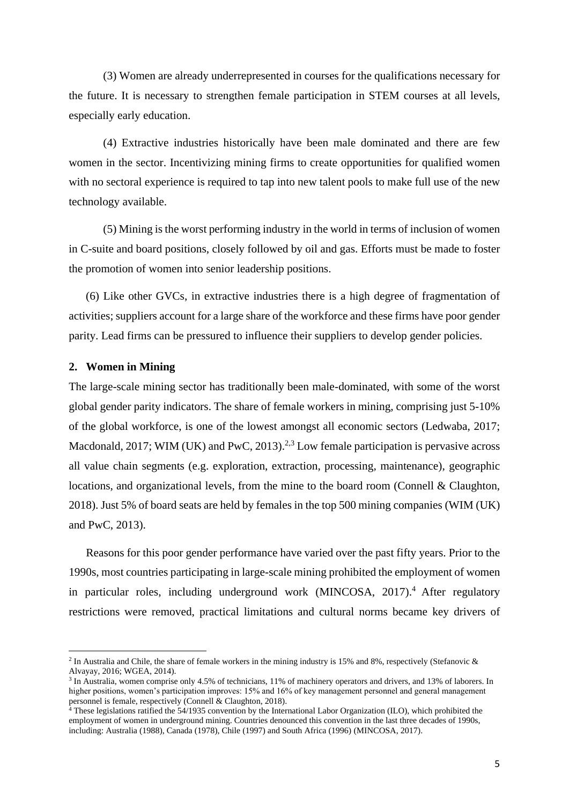(3) Women are already underrepresented in courses for the qualifications necessary for the future. It is necessary to strengthen female participation in STEM courses at all levels, especially early education.

(4) Extractive industries historically have been male dominated and there are few women in the sector. Incentivizing mining firms to create opportunities for qualified women with no sectoral experience is required to tap into new talent pools to make full use of the new technology available.

(5) Mining is the worst performing industry in the world in terms of inclusion of women in C-suite and board positions, closely followed by oil and gas. Efforts must be made to foster the promotion of women into senior leadership positions.

(6) Like other GVCs, in extractive industries there is a high degree of fragmentation of activities; suppliers account for a large share of the workforce and these firms have poor gender parity. Lead firms can be pressured to influence their suppliers to develop gender policies.

#### **2. Women in Mining**

The large-scale mining sector has traditionally been male-dominated, with some of the worst global gender parity indicators. The share of female workers in mining, comprising just 5-10% of the global workforce, is one of the lowest amongst all economic sectors (Ledwaba, 2017; Macdonald, 2017; WIM (UK) and PwC, 2013).<sup>2,3</sup> Low female participation is pervasive across all value chain segments (e.g. exploration, extraction, processing, maintenance), geographic locations, and organizational levels, from the mine to the board room (Connell & Claughton, 2018). Just 5% of board seats are held by females in the top 500 mining companies (WIM (UK) and PwC, 2013).

Reasons for this poor gender performance have varied over the past fifty years. Prior to the 1990s, most countries participating in large-scale mining prohibited the employment of women in particular roles, including underground work (MINCOSA, 2017). <sup>4</sup> After regulatory restrictions were removed, practical limitations and cultural norms became key drivers of

<sup>&</sup>lt;sup>2</sup> In Australia and Chile, the share of female workers in the mining industry is 15% and 8%, respectively (Stefanovic & Alvayay, 2016; WGEA, 2014).

<sup>3</sup> In Australia, women comprise only 4.5% of technicians, 11% of machinery operators and drivers, and 13% of laborers. In higher positions, women's participation improves: 15% and 16% of key management personnel and general management personnel is female, respectively (Connell & Claughton, 2018).

<sup>&</sup>lt;sup>4</sup> These legislations ratified the 54/1935 convention by the International Labor Organization (ILO), which prohibited the employment of women in underground mining. Countries denounced this convention in the last three decades of 1990s, including: Australia (1988), Canada (1978), Chile (1997) and South Africa (1996) (MINCOSA, 2017).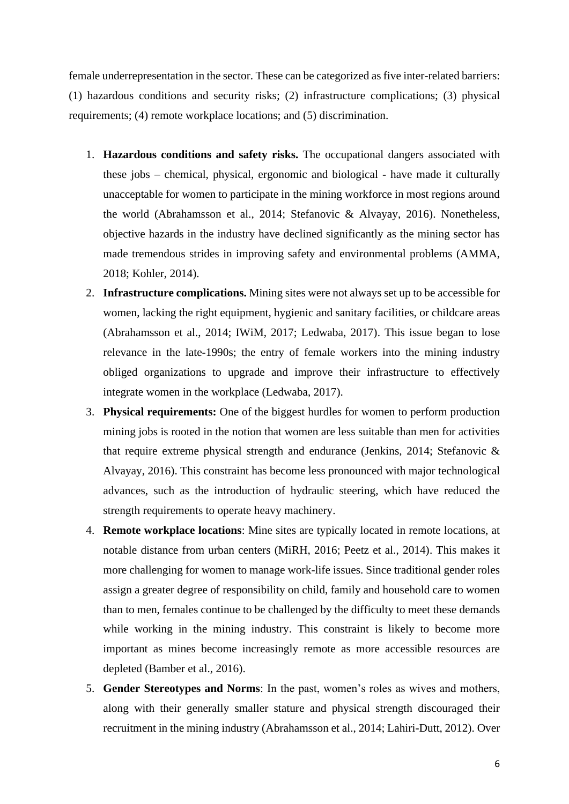female underrepresentation in the sector. These can be categorized as five inter-related barriers: (1) hazardous conditions and security risks; (2) infrastructure complications; (3) physical requirements; (4) remote workplace locations; and (5) discrimination.

- 1. **Hazardous conditions and safety risks.** The occupational dangers associated with these jobs – chemical, physical, ergonomic and biological - have made it culturally unacceptable for women to participate in the mining workforce in most regions around the world (Abrahamsson et al., 2014; Stefanovic & Alvayay, 2016). Nonetheless, objective hazards in the industry have declined significantly as the mining sector has made tremendous strides in improving safety and environmental problems (AMMA, 2018; Kohler, 2014).
- 2. **Infrastructure complications.** Mining sites were not always set up to be accessible for women, lacking the right equipment, hygienic and sanitary facilities, or childcare areas (Abrahamsson et al., 2014; IWiM, 2017; Ledwaba, 2017). This issue began to lose relevance in the late-1990s; the entry of female workers into the mining industry obliged organizations to upgrade and improve their infrastructure to effectively integrate women in the workplace (Ledwaba, 2017).
- 3. **Physical requirements:** One of the biggest hurdles for women to perform production mining jobs is rooted in the notion that women are less suitable than men for activities that require extreme physical strength and endurance (Jenkins, 2014; Stefanovic & Alvayay, 2016). This constraint has become less pronounced with major technological advances, such as the introduction of hydraulic steering, which have reduced the strength requirements to operate heavy machinery.
- 4. **Remote workplace locations**: Mine sites are typically located in remote locations, at notable distance from urban centers (MiRH, 2016; Peetz et al., 2014). This makes it more challenging for women to manage work-life issues. Since traditional gender roles assign a greater degree of responsibility on child, family and household care to women than to men, females continue to be challenged by the difficulty to meet these demands while working in the mining industry. This constraint is likely to become more important as mines become increasingly remote as more accessible resources are depleted (Bamber et al., 2016).
- 5. **Gender Stereotypes and Norms**: In the past, women's roles as wives and mothers, along with their generally smaller stature and physical strength discouraged their recruitment in the mining industry (Abrahamsson et al., 2014; Lahiri-Dutt, 2012). Over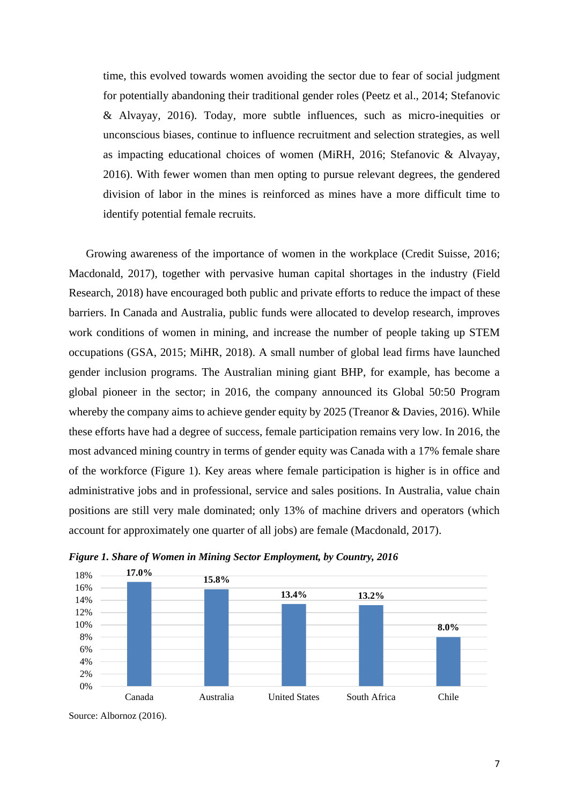time, this evolved towards women avoiding the sector due to fear of social judgment for potentially abandoning their traditional gender roles (Peetz et al., 2014; Stefanovic & Alvayay, 2016). Today, more subtle influences, such as micro-inequities or unconscious biases, continue to influence recruitment and selection strategies, as well as impacting educational choices of women (MiRH, 2016; Stefanovic & Alvayay, 2016). With fewer women than men opting to pursue relevant degrees, the gendered division of labor in the mines is reinforced as mines have a more difficult time to identify potential female recruits.

Growing awareness of the importance of women in the workplace (Credit Suisse, 2016; Macdonald, 2017), together with pervasive human capital shortages in the industry (Field Research, 2018) have encouraged both public and private efforts to reduce the impact of these barriers. In Canada and Australia, public funds were allocated to develop research, improves work conditions of women in mining, and increase the number of people taking up STEM occupations (GSA, 2015; MiHR, 2018). A small number of global lead firms have launched gender inclusion programs. The Australian mining giant BHP, for example, has become a global pioneer in the sector; in 2016, the company announced its Global 50:50 Program whereby the company aims to achieve gender equity by 2025 (Treanor & Davies, 2016). While these efforts have had a degree of success, female participation remains very low. In 2016, the most advanced mining country in terms of gender equity was Canada with a 17% female share of the workforce (Figure 1). Key areas where female participation is higher is in office and administrative jobs and in professional, service and sales positions. In Australia, value chain positions are still very male dominated; only 13% of machine drivers and operators (which account for approximately one quarter of all jobs) are female (Macdonald, 2017).



*Figure 1. Share of Women in Mining Sector Employment, by Country, 2016*

Source: Albornoz (2016).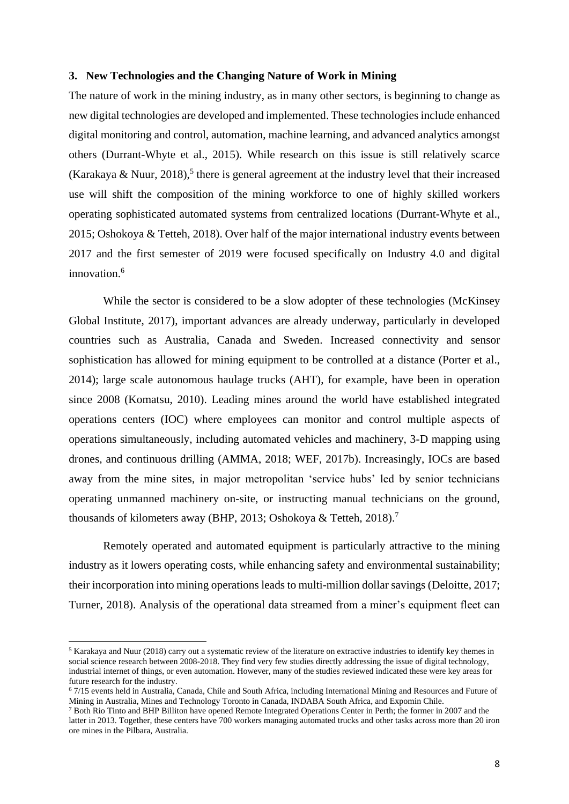### **3. New Technologies and the Changing Nature of Work in Mining**

The nature of work in the mining industry, as in many other sectors, is beginning to change as new digital technologies are developed and implemented. These technologies include enhanced digital monitoring and control, automation, machine learning, and advanced analytics amongst others (Durrant-Whyte et al., 2015). While research on this issue is still relatively scarce (Karakaya & Nuur, 2018),<sup>5</sup> there is general agreement at the industry level that their increased use will shift the composition of the mining workforce to one of highly skilled workers operating sophisticated automated systems from centralized locations (Durrant-Whyte et al., 2015; Oshokoya & Tetteh, 2018). Over half of the major international industry events between 2017 and the first semester of 2019 were focused specifically on Industry 4.0 and digital innovation.<sup>6</sup>

While the sector is considered to be a slow adopter of these technologies (McKinsey Global Institute, 2017), important advances are already underway, particularly in developed countries such as Australia, Canada and Sweden. Increased connectivity and sensor sophistication has allowed for mining equipment to be controlled at a distance (Porter et al., 2014); large scale autonomous haulage trucks (AHT), for example, have been in operation since 2008 (Komatsu, 2010). Leading mines around the world have established integrated operations centers (IOC) where employees can monitor and control multiple aspects of operations simultaneously, including automated vehicles and machinery, 3-D mapping using drones, and continuous drilling (AMMA, 2018; WEF, 2017b). Increasingly, IOCs are based away from the mine sites, in major metropolitan 'service hubs' led by senior technicians operating unmanned machinery on-site, or instructing manual technicians on the ground, thousands of kilometers away (BHP, 2013; Oshokoya & Tetteh, 2018).<sup>7</sup>

Remotely operated and automated equipment is particularly attractive to the mining industry as it lowers operating costs, while enhancing safety and environmental sustainability; their incorporation into mining operations leads to multi-million dollar savings (Deloitte, 2017; Turner, 2018). Analysis of the operational data streamed from a miner's equipment fleet can

<sup>5</sup> Karakaya and Nuur (2018) carry out a systematic review of the literature on extractive industries to identify key themes in social science research between 2008-2018. They find very few studies directly addressing the issue of digital technology, industrial internet of things, or even automation. However, many of the studies reviewed indicated these were key areas for future research for the industry.

<sup>6</sup> 7/15 events held in Australia, Canada, Chile and South Africa, including International Mining and Resources and Future of Mining in Australia, Mines and Technology Toronto in Canada, INDABA South Africa, and Expomin Chile.

<sup>7</sup> Both Rio Tinto and BHP Billiton have opened Remote Integrated Operations Center in Perth; the former in 2007 and the latter in 2013. Together, these centers have 700 workers managing automated trucks and other tasks across more than 20 iron ore mines in the Pilbara, Australia.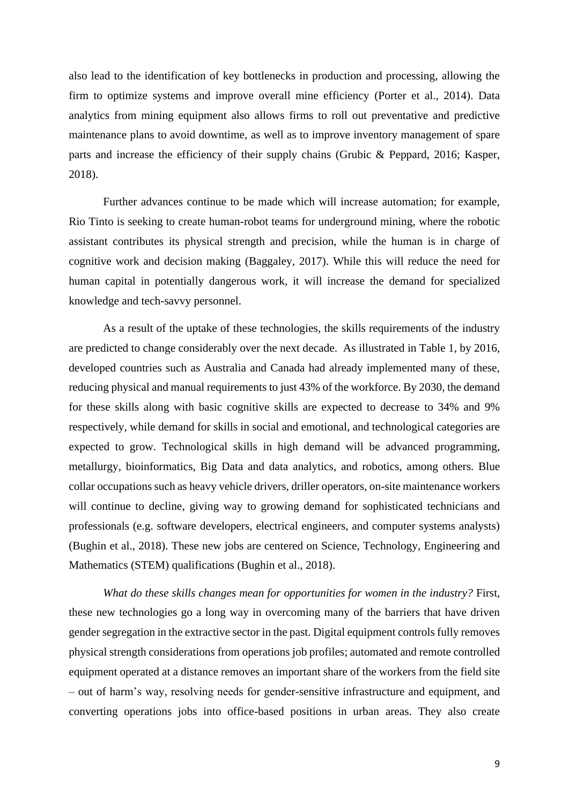also lead to the identification of key bottlenecks in production and processing, allowing the firm to optimize systems and improve overall mine efficiency (Porter et al., 2014). Data analytics from mining equipment also allows firms to roll out preventative and predictive maintenance plans to avoid downtime, as well as to improve inventory management of spare parts and increase the efficiency of their supply chains (Grubic & Peppard, 2016; Kasper, 2018).

Further advances continue to be made which will increase automation; for example, Rio Tinto is seeking to create human-robot teams for underground mining, where the robotic assistant contributes its physical strength and precision, while the human is in charge of cognitive work and decision making (Baggaley, 2017). While this will reduce the need for human capital in potentially dangerous work, it will increase the demand for specialized knowledge and tech-savvy personnel.

As a result of the uptake of these technologies, the skills requirements of the industry are predicted to change considerably over the next decade. As illustrated in Table 1, by 2016, developed countries such as Australia and Canada had already implemented many of these, reducing physical and manual requirements to just 43% of the workforce. By 2030, the demand for these skills along with basic cognitive skills are expected to decrease to 34% and 9% respectively, while demand for skills in social and emotional, and technological categories are expected to grow. Technological skills in high demand will be advanced programming, metallurgy, bioinformatics, Big Data and data analytics, and robotics, among others. Blue collar occupations such as heavy vehicle drivers, driller operators, on-site maintenance workers will continue to decline, giving way to growing demand for sophisticated technicians and professionals (e.g. software developers, electrical engineers, and computer systems analysts) (Bughin et al., 2018). These new jobs are centered on Science, Technology, Engineering and Mathematics (STEM) qualifications (Bughin et al., 2018).

*What do these skills changes mean for opportunities for women in the industry?* First, these new technologies go a long way in overcoming many of the barriers that have driven gender segregation in the extractive sector in the past. Digital equipment controls fully removes physical strength considerations from operations job profiles; automated and remote controlled equipment operated at a distance removes an important share of the workers from the field site – out of harm's way, resolving needs for gender-sensitive infrastructure and equipment, and converting operations jobs into office-based positions in urban areas. They also create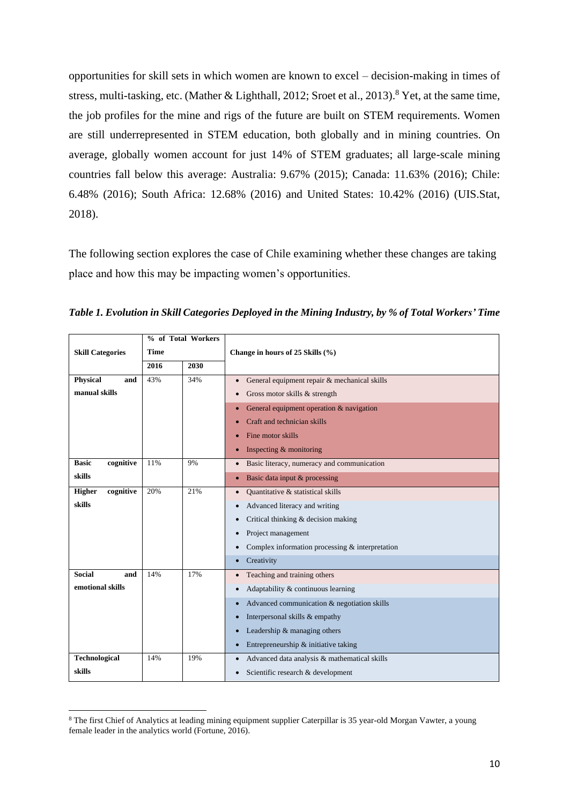opportunities for skill sets in which women are known to excel – decision-making in times of stress, multi-tasking, etc. (Mather & Lighthall, 2012; Sroet et al., 2013).<sup>8</sup> Yet, at the same time, the job profiles for the mine and rigs of the future are built on STEM requirements. Women are still underrepresented in STEM education, both globally and in mining countries. On average, globally women account for just 14% of STEM graduates; all large-scale mining countries fall below this average: Australia: 9.67% (2015); Canada: 11.63% (2016); Chile: 6.48% (2016); South Africa: 12.68% (2016) and United States: 10.42% (2016) (UIS.Stat, 2018).

The following section explores the case of Chile examining whether these changes are taking place and how this may be impacting women's opportunities.

|                            | % of Total Workers |     |                                                              |  |  |  |  |
|----------------------------|--------------------|-----|--------------------------------------------------------------|--|--|--|--|
| <b>Skill Categories</b>    | <b>Time</b>        |     | Change in hours of 25 Skills (%)                             |  |  |  |  |
|                            | 2030<br>2016       |     |                                                              |  |  |  |  |
| <b>Physical</b><br>and     | 43%                | 34% | General equipment repair & mechanical skills<br>$\bullet$    |  |  |  |  |
| manual skills              |                    |     | Gross motor skills & strength<br>$\bullet$                   |  |  |  |  |
|                            |                    |     | General equipment operation & navigation<br>۰                |  |  |  |  |
|                            |                    |     | Craft and technician skills                                  |  |  |  |  |
|                            |                    |     | Fine motor skills<br>$\bullet$                               |  |  |  |  |
|                            |                    |     | Inspecting & monitoring<br>$\bullet$                         |  |  |  |  |
| <b>Basic</b><br>cognitive  | 11%                | 9%  | Basic literacy, numeracy and communication<br>$\bullet$      |  |  |  |  |
| skills                     |                    |     | Basic data input & processing<br>۰                           |  |  |  |  |
| <b>Higher</b><br>cognitive | 20%                | 21% | Quantitative & statistical skills<br>$\bullet$               |  |  |  |  |
| skills                     |                    |     | Advanced literacy and writing<br>$\bullet$                   |  |  |  |  |
|                            |                    |     | Critical thinking & decision making<br>٠                     |  |  |  |  |
|                            |                    |     | Project management<br>$\bullet$                              |  |  |  |  |
|                            |                    |     | Complex information processing & interpretation<br>$\bullet$ |  |  |  |  |
|                            |                    |     | Creativity<br>$\bullet$                                      |  |  |  |  |
| <b>Social</b><br>and       | 14%                | 17% | Teaching and training others<br>$\bullet$                    |  |  |  |  |
| emotional skills           |                    |     | Adaptability & continuous learning<br>$\bullet$              |  |  |  |  |
|                            |                    |     | Advanced communication & negotiation skills<br>$\bullet$     |  |  |  |  |
|                            |                    |     | Interpersonal skills & empathy<br>$\bullet$                  |  |  |  |  |
|                            |                    |     | Leadership & managing others<br>$\bullet$                    |  |  |  |  |
|                            |                    |     | Entrepreneurship & initiative taking<br>$\bullet$            |  |  |  |  |
| <b>Technological</b>       | 14%                | 19% | Advanced data analysis & mathematical skills<br>$\bullet$    |  |  |  |  |
| skills                     |                    |     | Scientific research & development<br>٠                       |  |  |  |  |

*Table 1. Evolution in Skill Categories Deployed in the Mining Industry, by % of Total Workers' Time*

<sup>8</sup> The first Chief of Analytics at leading mining equipment supplier Caterpillar is 35 year-old Morgan Vawter, a young female leader in the analytics world (Fortune, 2016).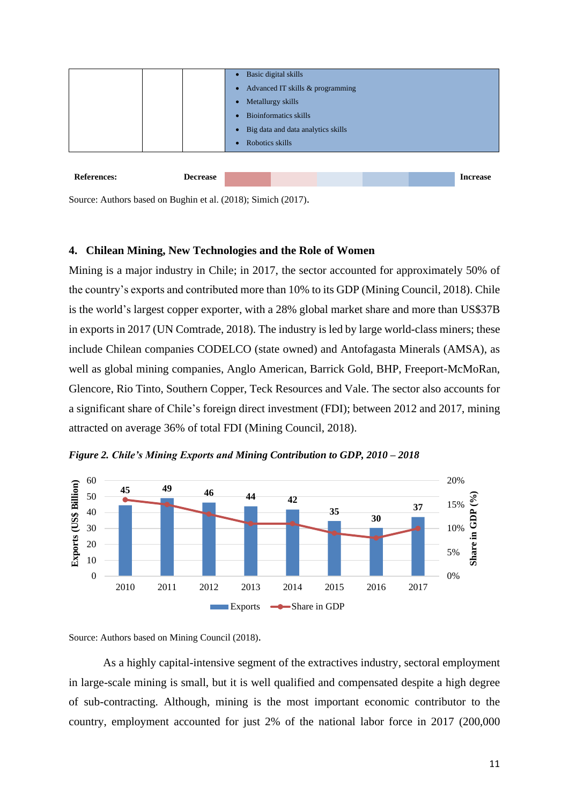

Source: Authors based on Bughin et al. (2018); Simich (2017).

### **4. Chilean Mining, New Technologies and the Role of Women**

Mining is a major industry in Chile; in 2017, the sector accounted for approximately 50% of the country's exports and contributed more than 10% to its GDP (Mining Council, 2018). Chile is the world's largest copper exporter, with a 28% global market share and more than US\$37B in exports in 2017 (UN Comtrade, 2018). The industry is led by large world-class miners; these include Chilean companies CODELCO (state owned) and Antofagasta Minerals (AMSA), as well as global mining companies, Anglo American, Barrick Gold, BHP, Freeport-McMoRan, Glencore, Rio Tinto, Southern Copper, Teck Resources and Vale. The sector also accounts for a significant share of Chile's foreign direct investment (FDI); between 2012 and 2017, mining attracted on average 36% of total FDI (Mining Council, 2018).



*Figure 2. Chile's Mining Exports and Mining Contribution to GDP, 2010 – 2018*

Source: Authors based on Mining Council (2018).

As a highly capital-intensive segment of the extractives industry, sectoral employment in large-scale mining is small, but it is well qualified and compensated despite a high degree of sub-contracting. Although, mining is the most important economic contributor to the country, employment accounted for just 2% of the national labor force in 2017 (200,000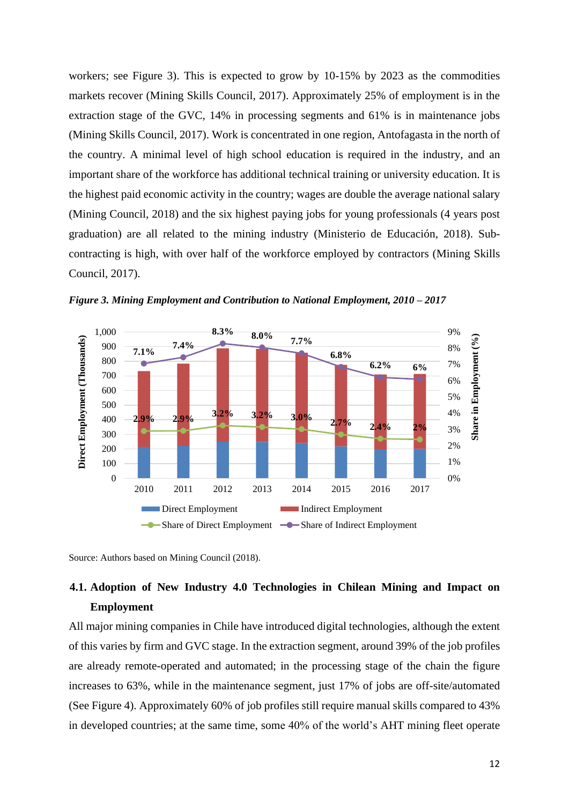workers; see Figure 3). This is expected to grow by 10-15% by 2023 as the commodities markets recover (Mining Skills Council, 2017). Approximately 25% of employment is in the extraction stage of the GVC, 14% in processing segments and 61% is in maintenance jobs (Mining Skills Council, 2017). Work is concentrated in one region, Antofagasta in the north of the country. A minimal level of high school education is required in the industry, and an important share of the workforce has additional technical training or university education. It is the highest paid economic activity in the country; wages are double the average national salary (Mining Council, 2018) and the six highest paying jobs for young professionals (4 years post graduation) are all related to the mining industry (Ministerio de Educación, 2018). Subcontracting is high, with over half of the workforce employed by contractors (Mining Skills Council, 2017).



*Figure 3. Mining Employment and Contribution to National Employment, 2010 – 2017*

Source: Authors based on Mining Council (2018).

# **4.1. Adoption of New Industry 4.0 Technologies in Chilean Mining and Impact on Employment**

All major mining companies in Chile have introduced digital technologies, although the extent of this varies by firm and GVC stage. In the extraction segment, around 39% of the job profiles are already remote-operated and automated; in the processing stage of the chain the figure increases to 63%, while in the maintenance segment, just 17% of jobs are off-site/automated (See Figure 4). Approximately 60% of job profiles still require manual skills compared to 43% in developed countries; at the same time, some 40% of the world's AHT mining fleet operate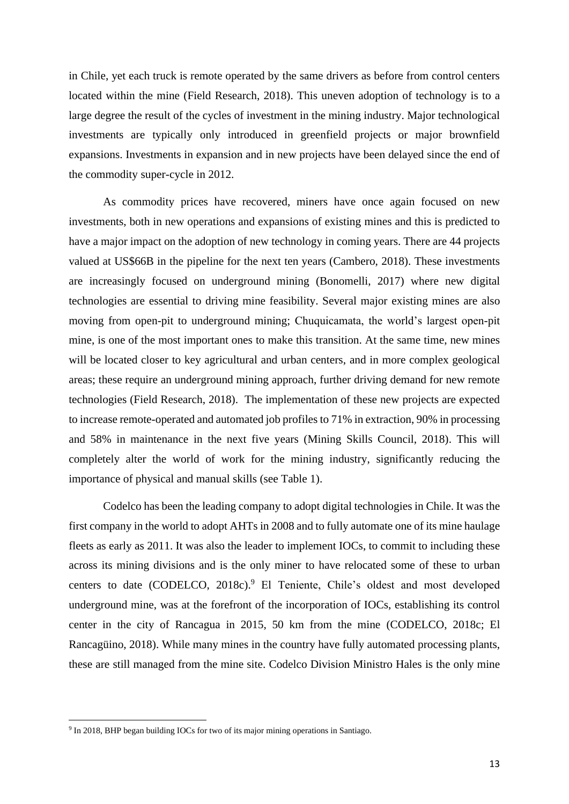in Chile, yet each truck is remote operated by the same drivers as before from control centers located within the mine (Field Research, 2018). This uneven adoption of technology is to a large degree the result of the cycles of investment in the mining industry. Major technological investments are typically only introduced in greenfield projects or major brownfield expansions. Investments in expansion and in new projects have been delayed since the end of the commodity super-cycle in 2012.

As commodity prices have recovered, miners have once again focused on new investments, both in new operations and expansions of existing mines and this is predicted to have a major impact on the adoption of new technology in coming years. There are 44 projects valued at US\$66B in the pipeline for the next ten years (Cambero, 2018). These investments are increasingly focused on underground mining (Bonomelli, 2017) where new digital technologies are essential to driving mine feasibility. Several major existing mines are also moving from open-pit to underground mining; Chuquicamata, the world's largest open-pit mine, is one of the most important ones to make this transition. At the same time, new mines will be located closer to key agricultural and urban centers, and in more complex geological areas; these require an underground mining approach, further driving demand for new remote technologies (Field Research, 2018). The implementation of these new projects are expected to increase remote-operated and automated job profiles to 71% in extraction, 90% in processing and 58% in maintenance in the next five years (Mining Skills Council, 2018). This will completely alter the world of work for the mining industry, significantly reducing the importance of physical and manual skills (see Table 1).

Codelco has been the leading company to adopt digital technologies in Chile. It was the first company in the world to adopt AHTs in 2008 and to fully automate one of its mine haulage fleets as early as 2011. It was also the leader to implement IOCs, to commit to including these across its mining divisions and is the only miner to have relocated some of these to urban centers to date (CODELCO, 2018c). <sup>9</sup> El Teniente, Chile's oldest and most developed underground mine, was at the forefront of the incorporation of IOCs, establishing its control center in the city of Rancagua in 2015, 50 km from the mine (CODELCO, 2018c; El Rancagüino, 2018). While many mines in the country have fully automated processing plants, these are still managed from the mine site. Codelco Division Ministro Hales is the only mine

<sup>&</sup>lt;sup>9</sup> In 2018, BHP began building IOCs for two of its major mining operations in Santiago.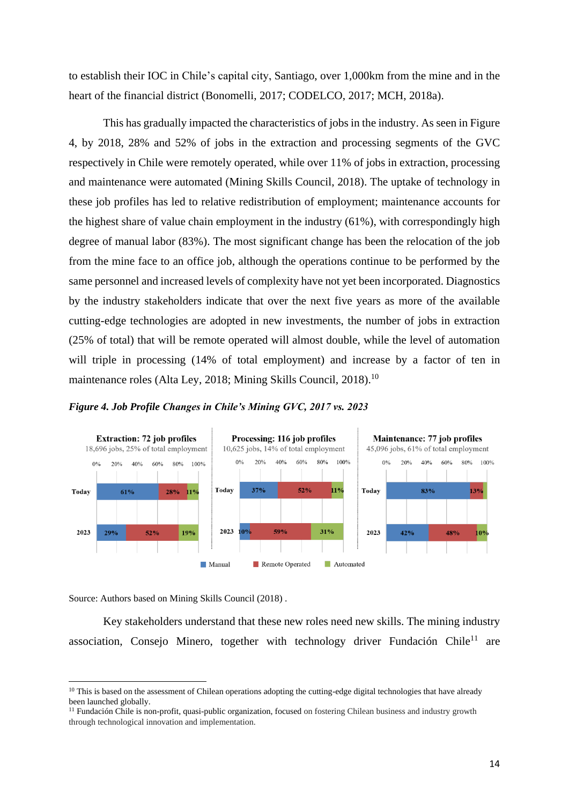to establish their IOC in Chile's capital city, Santiago, over 1,000km from the mine and in the heart of the financial district (Bonomelli, 2017; CODELCO, 2017; MCH, 2018a).

This has gradually impacted the characteristics of jobs in the industry. As seen in Figure 4, by 2018, 28% and 52% of jobs in the extraction and processing segments of the GVC respectively in Chile were remotely operated, while over 11% of jobs in extraction, processing and maintenance were automated (Mining Skills Council, 2018). The uptake of technology in these job profiles has led to relative redistribution of employment; maintenance accounts for the highest share of value chain employment in the industry (61%), with correspondingly high degree of manual labor (83%). The most significant change has been the relocation of the job from the mine face to an office job, although the operations continue to be performed by the same personnel and increased levels of complexity have not yet been incorporated. Diagnostics by the industry stakeholders indicate that over the next five years as more of the available cutting-edge technologies are adopted in new investments, the number of jobs in extraction (25% of total) that will be remote operated will almost double, while the level of automation will triple in processing (14% of total employment) and increase by a factor of ten in maintenance roles (Alta Ley, 2018; Mining Skills Council, 2018).<sup>10</sup>

*Figure 4. Job Profile Changes in Chile's Mining GVC, 2017 vs. 2023*



Source: Authors based on Mining Skills Council (2018) .

Key stakeholders understand that these new roles need new skills. The mining industry association, Consejo Minero, together with technology driver Fundación Chile<sup>11</sup> are

<sup>&</sup>lt;sup>10</sup> This is based on the assessment of Chilean operations adopting the cutting-edge digital technologies that have already been launched globally.

<sup>&</sup>lt;sup>11</sup> Fundación Chile is non-profit, quasi-public organization, focused on fostering Chilean business and industry growth through technological innovation and implementation.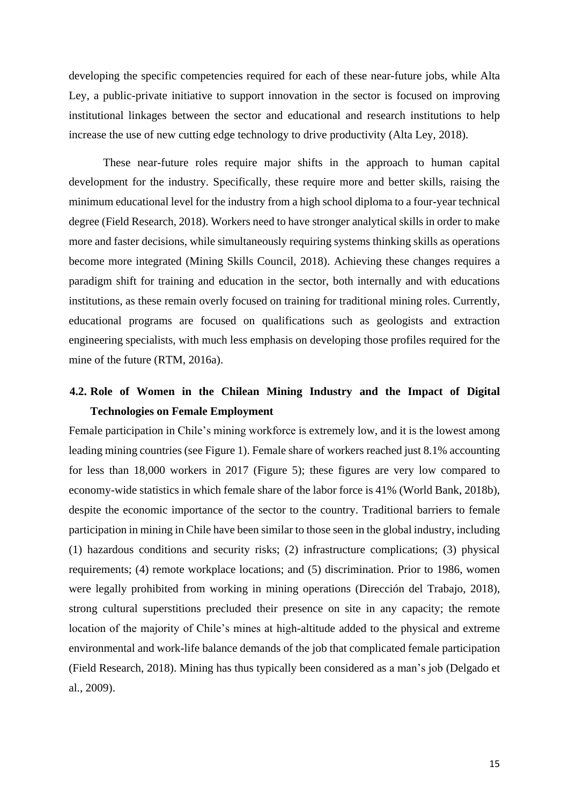developing the specific competencies required for each of these near-future jobs, while Alta Ley, a public-private initiative to support innovation in the sector is focused on improving institutional linkages between the sector and educational and research institutions to help increase the use of new cutting edge technology to drive productivity (Alta Ley, 2018).

These near-future roles require major shifts in the approach to human capital development for the industry. Specifically, these require more and better skills, raising the minimum educational level for the industry from a high school diploma to a four-year technical degree (Field Research, 2018). Workers need to have stronger analytical skills in order to make more and faster decisions, while simultaneously requiring systems thinking skills as operations become more integrated (Mining Skills Council, 2018). Achieving these changes requires a paradigm shift for training and education in the sector, both internally and with educations institutions, as these remain overly focused on training for traditional mining roles. Currently, educational programs are focused on qualifications such as geologists and extraction engineering specialists, with much less emphasis on developing those profiles required for the mine of the future (RTM, 2016a).

# **4.2. Role of Women in the Chilean Mining Industry and the Impact of Digital Technologies on Female Employment**

Female participation in Chile's mining workforce is extremely low, and it is the lowest among leading mining countries (see Figure 1). Female share of workers reached just 8.1% accounting for less than 18,000 workers in 2017 (Figure 5); these figures are very low compared to economy-wide statistics in which female share of the labor force is 41% (World Bank, 2018b), despite the economic importance of the sector to the country. Traditional barriers to female participation in mining in Chile have been similar to those seen in the global industry, including (1) hazardous conditions and security risks; (2) infrastructure complications; (3) physical requirements; (4) remote workplace locations; and (5) discrimination. Prior to 1986, women were legally prohibited from working in mining operations (Dirección del Trabajo, 2018), strong cultural superstitions precluded their presence on site in any capacity; the remote location of the majority of Chile's mines at high-altitude added to the physical and extreme environmental and work-life balance demands of the job that complicated female participation (Field Research, 2018). Mining has thus typically been considered as a man's job (Delgado et al., 2009).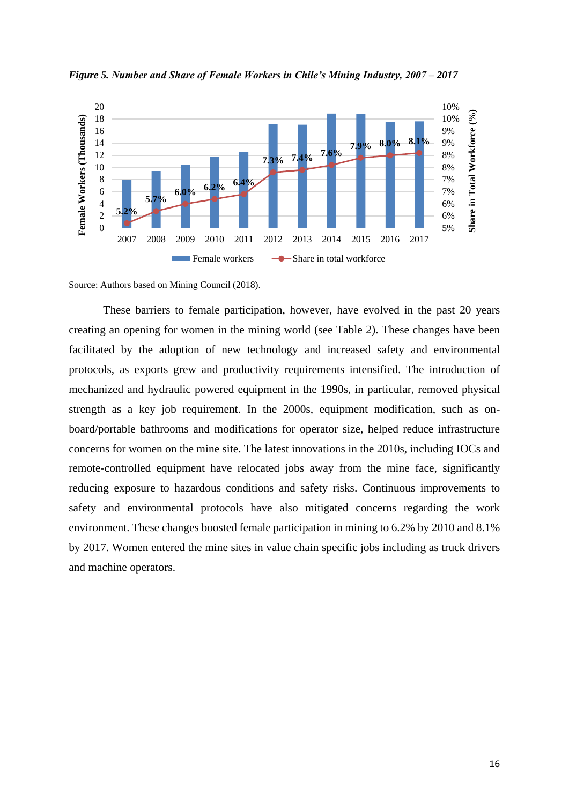

*Figure 5. Number and Share of Female Workers in Chile's Mining Industry, 2007 – 2017*

Source: Authors based on Mining Council (2018).

These barriers to female participation, however, have evolved in the past 20 years creating an opening for women in the mining world (see Table 2). These changes have been facilitated by the adoption of new technology and increased safety and environmental protocols, as exports grew and productivity requirements intensified. The introduction of mechanized and hydraulic powered equipment in the 1990s, in particular, removed physical strength as a key job requirement. In the 2000s, equipment modification, such as onboard/portable bathrooms and modifications for operator size, helped reduce infrastructure concerns for women on the mine site. The latest innovations in the 2010s, including IOCs and remote-controlled equipment have relocated jobs away from the mine face, significantly reducing exposure to hazardous conditions and safety risks. Continuous improvements to safety and environmental protocols have also mitigated concerns regarding the work environment. These changes boosted female participation in mining to 6.2% by 2010 and 8.1% by 2017. Women entered the mine sites in value chain specific jobs including as truck drivers and machine operators.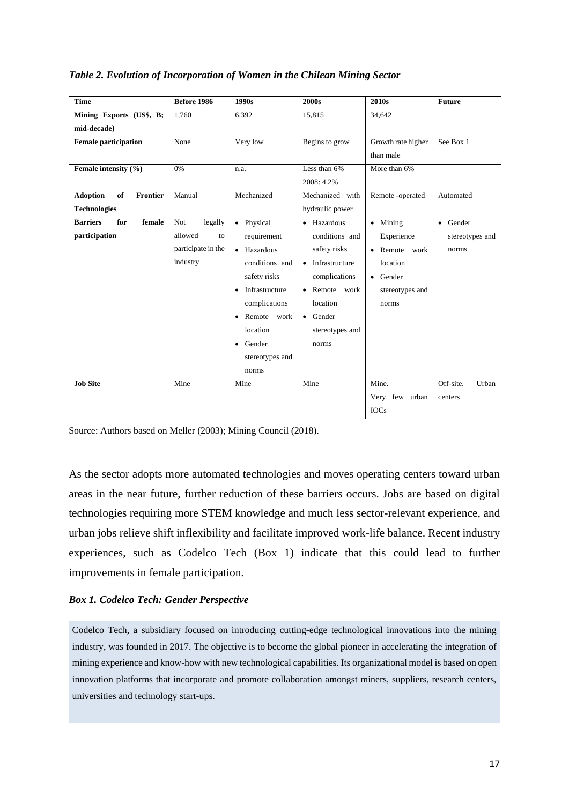| <b>Time</b>                              | Before 1986           | 1990s                       | 2000s                        | 2010 <sub>s</sub>  | <b>Future</b>      |  |
|------------------------------------------|-----------------------|-----------------------------|------------------------------|--------------------|--------------------|--|
| Mining Exports (US\$, B;                 | 1.760                 | 6,392                       | 15,815                       | 34,642             |                    |  |
| mid-decade)                              |                       |                             |                              |                    |                    |  |
| <b>Female participation</b>              | None                  | Very low                    | Begins to grow               | Growth rate higher | See Box 1          |  |
|                                          |                       |                             |                              | than male          |                    |  |
| Female intensity (%)                     | 0%                    | n.a.                        | Less than 6%                 | More than 6%       |                    |  |
|                                          |                       |                             | 2008: 4.2%                   |                    |                    |  |
| <b>Adoption</b><br>of<br><b>Frontier</b> | Manual                | Mechanized                  | Mechanized with              | Remote-operated    | Automated          |  |
| <b>Technologies</b>                      |                       |                             | hydraulic power              |                    |                    |  |
| <b>Barriers</b><br>female<br>for         | <b>Not</b><br>legally | • Physical                  | • Hazardous                  | $\bullet$ Mining   | • Gender           |  |
| participation                            | allowed<br>to         | requirement                 | conditions and<br>Experience |                    | stereotypes and    |  |
|                                          | participate in the    | • Hazardous                 | safety risks                 | • Remote work      | norms              |  |
|                                          | industry              | conditions and              | Infrastructure<br>$\bullet$  | location           |                    |  |
|                                          |                       | safety risks                | complications                | • Gender           |                    |  |
|                                          |                       | Infrastructure<br>$\bullet$ | • Remote work                | stereotypes and    |                    |  |
|                                          |                       | complications               | location                     | norms              |                    |  |
|                                          |                       | • Remote work               | • Gender                     |                    |                    |  |
|                                          |                       | location                    | stereotypes and              |                    |                    |  |
|                                          |                       | Gender<br>$\bullet$         | norms                        |                    |                    |  |
|                                          |                       | stereotypes and             |                              |                    |                    |  |
|                                          |                       | norms                       |                              |                    |                    |  |
| <b>Job Site</b>                          | Mine                  | Mine                        | Mine                         | Mine.              | Off-site.<br>Urban |  |
|                                          |                       |                             |                              | Very few urban     | centers            |  |
|                                          |                       |                             |                              | <b>IOCs</b>        |                    |  |

*Table 2. Evolution of Incorporation of Women in the Chilean Mining Sector*

Source: Authors based on Meller (2003); Mining Council (2018).

As the sector adopts more automated technologies and moves operating centers toward urban areas in the near future, further reduction of these barriers occurs. Jobs are based on digital technologies requiring more STEM knowledge and much less sector-relevant experience, and urban jobs relieve shift inflexibility and facilitate improved work-life balance. Recent industry experiences, such as Codelco Tech (Box 1) indicate that this could lead to further improvements in female participation.

## *Box 1. Codelco Tech: Gender Perspective*

Codelco Tech, a subsidiary focused on introducing cutting-edge technological innovations into the mining industry, was founded in 2017. The objective is to become the global pioneer in accelerating the integration of mining experience and know-how with new technological capabilities. Its organizational model is based on open innovation platforms that incorporate and promote collaboration amongst miners, suppliers, research centers, universities and technology start-ups.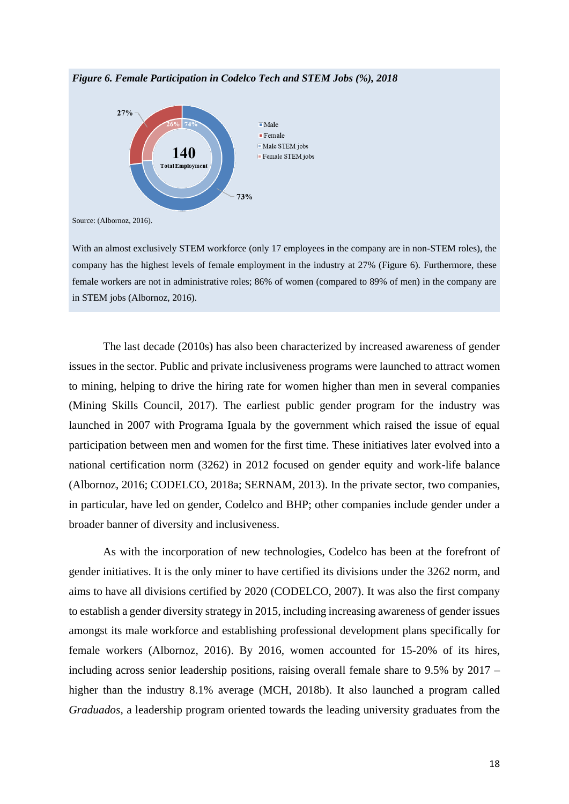

*Figure 6. Female Participation in Codelco Tech and STEM Jobs (%), 2018*

Source: (Albornoz, 2016).

With an almost exclusively STEM workforce (only 17 employees in the company are in non-STEM roles), the company has the highest levels of female employment in the industry at 27% (Figure 6). Furthermore, these female workers are not in administrative roles; 86% of women (compared to 89% of men) in the company are in STEM jobs (Albornoz, 2016).

The last decade (2010s) has also been characterized by increased awareness of gender issues in the sector. Public and private inclusiveness programs were launched to attract women to mining, helping to drive the hiring rate for women higher than men in several companies (Mining Skills Council, 2017). The earliest public gender program for the industry was launched in 2007 with Programa Iguala by the government which raised the issue of equal participation between men and women for the first time. These initiatives later evolved into a national certification norm (3262) in 2012 focused on gender equity and work-life balance (Albornoz, 2016; CODELCO, 2018a; SERNAM, 2013). In the private sector, two companies, in particular, have led on gender, Codelco and BHP; other companies include gender under a broader banner of diversity and inclusiveness.

As with the incorporation of new technologies, Codelco has been at the forefront of gender initiatives. It is the only miner to have certified its divisions under the 3262 norm, and aims to have all divisions certified by 2020 (CODELCO, 2007). It was also the first company to establish a gender diversity strategy in 2015, including increasing awareness of gender issues amongst its male workforce and establishing professional development plans specifically for female workers (Albornoz, 2016). By 2016, women accounted for 15-20% of its hires, including across senior leadership positions, raising overall female share to 9.5% by 2017 – higher than the industry 8.1% average (MCH, 2018b). It also launched a program called *Graduados*, a leadership program oriented towards the leading university graduates from the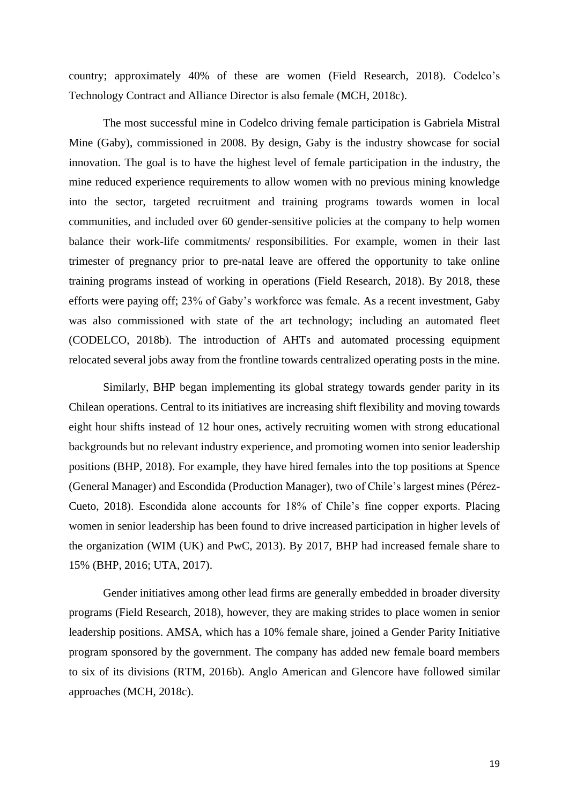country; approximately 40% of these are women (Field Research, 2018). Codelco's Technology Contract and Alliance Director is also female (MCH, 2018c).

The most successful mine in Codelco driving female participation is Gabriela Mistral Mine (Gaby), commissioned in 2008. By design, Gaby is the industry showcase for social innovation. The goal is to have the highest level of female participation in the industry, the mine reduced experience requirements to allow women with no previous mining knowledge into the sector, targeted recruitment and training programs towards women in local communities, and included over 60 gender-sensitive policies at the company to help women balance their work-life commitments/ responsibilities. For example, women in their last trimester of pregnancy prior to pre-natal leave are offered the opportunity to take online training programs instead of working in operations (Field Research, 2018). By 2018, these efforts were paying off; 23% of Gaby's workforce was female. As a recent investment, Gaby was also commissioned with state of the art technology; including an automated fleet (CODELCO, 2018b). The introduction of AHTs and automated processing equipment relocated several jobs away from the frontline towards centralized operating posts in the mine.

Similarly, BHP began implementing its global strategy towards gender parity in its Chilean operations. Central to its initiatives are increasing shift flexibility and moving towards eight hour shifts instead of 12 hour ones, actively recruiting women with strong educational backgrounds but no relevant industry experience, and promoting women into senior leadership positions (BHP, 2018). For example, they have hired females into the top positions at Spence (General Manager) and Escondida (Production Manager), two of Chile's largest mines (Pérez-Cueto, 2018). Escondida alone accounts for 18% of Chile's fine copper exports. Placing women in senior leadership has been found to drive increased participation in higher levels of the organization (WIM (UK) and PwC, 2013). By 2017, BHP had increased female share to 15% (BHP, 2016; UTA, 2017).

Gender initiatives among other lead firms are generally embedded in broader diversity programs (Field Research, 2018), however, they are making strides to place women in senior leadership positions. AMSA, which has a 10% female share, joined a Gender Parity Initiative program sponsored by the government. The company has added new female board members to six of its divisions (RTM, 2016b). Anglo American and Glencore have followed similar approaches (MCH, 2018c).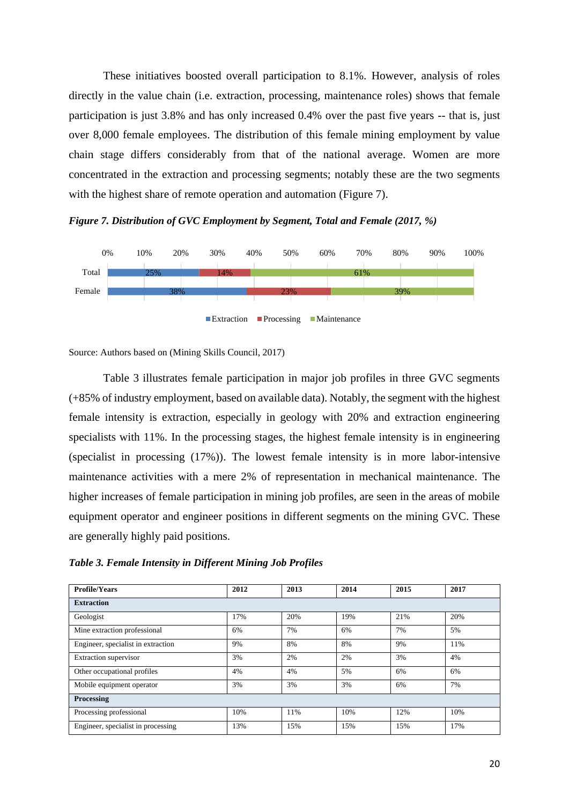These initiatives boosted overall participation to 8.1%. However, analysis of roles directly in the value chain (i.e. extraction, processing, maintenance roles) shows that female participation is just 3.8% and has only increased 0.4% over the past five years -- that is, just over 8,000 female employees. The distribution of this female mining employment by value chain stage differs considerably from that of the national average. Women are more concentrated in the extraction and processing segments; notably these are the two segments with the highest share of remote operation and automation (Figure 7).

*Figure 7. Distribution of GVC Employment by Segment, Total and Female (2017, %)*



Source: Authors based on (Mining Skills Council, 2017)

Table 3 illustrates female participation in major job profiles in three GVC segments (+85% of industry employment, based on available data). Notably, the segment with the highest female intensity is extraction, especially in geology with 20% and extraction engineering specialists with 11%. In the processing stages, the highest female intensity is in engineering (specialist in processing (17%)). The lowest female intensity is in more labor-intensive maintenance activities with a mere 2% of representation in mechanical maintenance. The higher increases of female participation in mining job profiles, are seen in the areas of mobile equipment operator and engineer positions in different segments on the mining GVC. These are generally highly paid positions.

*Table 3. Female Intensity in Different Mining Job Profiles*

| <b>Profile/Years</b>               | 2012 | 2013 | 2014 | 2015 | 2017 |  |  |
|------------------------------------|------|------|------|------|------|--|--|
| <b>Extraction</b>                  |      |      |      |      |      |  |  |
| Geologist                          | 17%  | 20%  | 19%  | 21%  | 20%  |  |  |
| Mine extraction professional       | 6%   | 7%   | 6%   | 7%   | 5%   |  |  |
| Engineer, specialist in extraction | 9%   | 8%   | 8%   | 9%   | 11%  |  |  |
| Extraction supervisor              | 3%   | 2%   | 2%   | 3%   | 4%   |  |  |
| Other occupational profiles        | 4%   | 4%   | 5%   | 6%   | 6%   |  |  |
| Mobile equipment operator          | 3%   | 3%   | 3%   | 6%   | 7%   |  |  |
| Processing                         |      |      |      |      |      |  |  |
| Processing professional            | 10%  | 11%  | 10%  | 12%  | 10%  |  |  |
| Engineer, specialist in processing | 13%  | 15%  | 15%  | 15%  | 17%  |  |  |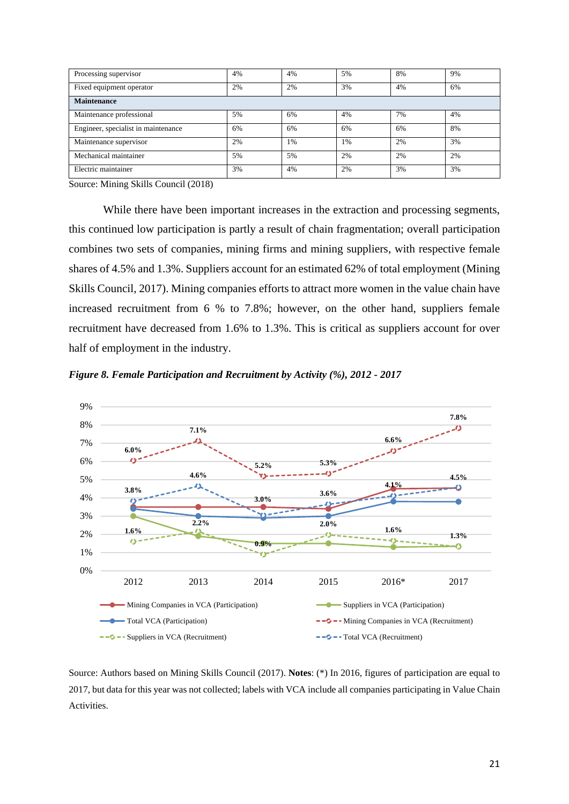| Processing supervisor               | 4% | 4% | 5% | 8% | 9% |  |
|-------------------------------------|----|----|----|----|----|--|
| Fixed equipment operator            | 2% | 2% | 3% | 4% | 6% |  |
| <b>Maintenance</b>                  |    |    |    |    |    |  |
| Maintenance professional            | 5% | 6% | 4% | 7% | 4% |  |
| Engineer, specialist in maintenance | 6% | 6% | 6% | 6% | 8% |  |
| Maintenance supervisor              | 2% | 1% | 1% | 2% | 3% |  |
| Mechanical maintainer               | 5% | 5% | 2% | 2% | 2% |  |
| Electric maintainer                 | 3% | 4% | 2% | 3% | 3% |  |

Source: Mining Skills Council (2018)

While there have been important increases in the extraction and processing segments, this continued low participation is partly a result of chain fragmentation; overall participation combines two sets of companies, mining firms and mining suppliers, with respective female shares of 4.5% and 1.3%. Suppliers account for an estimated 62% of total employment (Mining Skills Council, 2017). Mining companies efforts to attract more women in the value chain have increased recruitment from 6 % to 7.8%; however, on the other hand, suppliers female recruitment have decreased from 1.6% to 1.3%. This is critical as suppliers account for over half of employment in the industry.





Source: Authors based on Mining Skills Council (2017). **Notes**: (\*) In 2016, figures of participation are equal to 2017, but data for this year was not collected; labels with VCA include all companies participating in Value Chain Activities.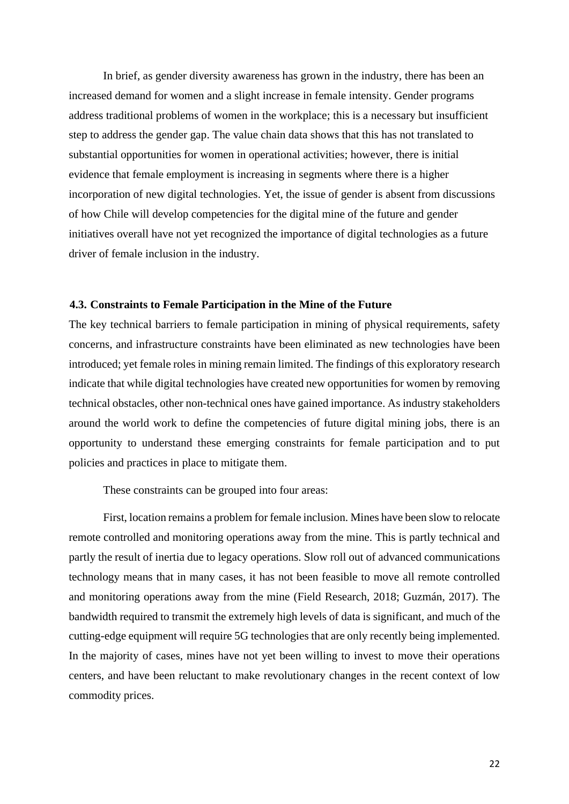In brief, as gender diversity awareness has grown in the industry, there has been an increased demand for women and a slight increase in female intensity. Gender programs address traditional problems of women in the workplace; this is a necessary but insufficient step to address the gender gap. The value chain data shows that this has not translated to substantial opportunities for women in operational activities; however, there is initial evidence that female employment is increasing in segments where there is a higher incorporation of new digital technologies. Yet, the issue of gender is absent from discussions of how Chile will develop competencies for the digital mine of the future and gender initiatives overall have not yet recognized the importance of digital technologies as a future driver of female inclusion in the industry.

### **4.3. Constraints to Female Participation in the Mine of the Future**

The key technical barriers to female participation in mining of physical requirements, safety concerns, and infrastructure constraints have been eliminated as new technologies have been introduced; yet female roles in mining remain limited. The findings of this exploratory research indicate that while digital technologies have created new opportunities for women by removing technical obstacles, other non-technical ones have gained importance. As industry stakeholders around the world work to define the competencies of future digital mining jobs, there is an opportunity to understand these emerging constraints for female participation and to put policies and practices in place to mitigate them.

These constraints can be grouped into four areas:

First, location remains a problem for female inclusion. Mines have been slow to relocate remote controlled and monitoring operations away from the mine. This is partly technical and partly the result of inertia due to legacy operations. Slow roll out of advanced communications technology means that in many cases, it has not been feasible to move all remote controlled and monitoring operations away from the mine (Field Research, 2018; Guzmán, 2017). The bandwidth required to transmit the extremely high levels of data is significant, and much of the cutting-edge equipment will require 5G technologies that are only recently being implemented. In the majority of cases, mines have not yet been willing to invest to move their operations centers, and have been reluctant to make revolutionary changes in the recent context of low commodity prices.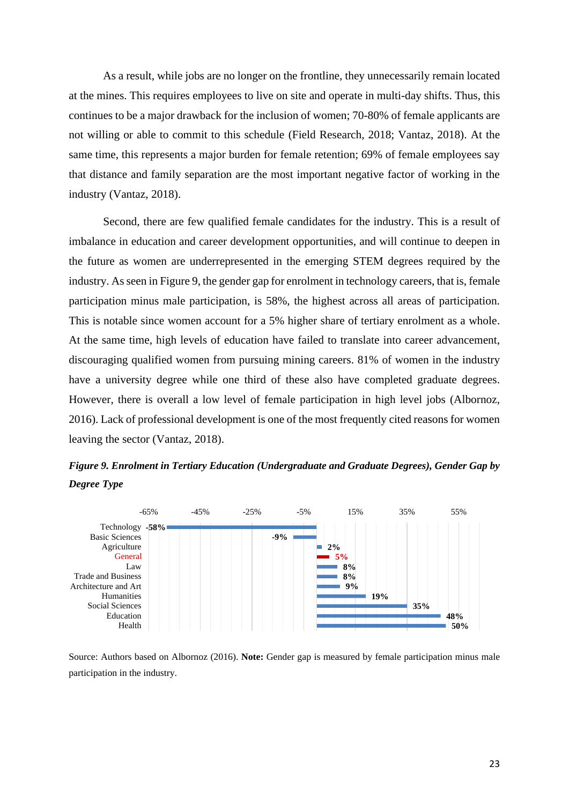As a result, while jobs are no longer on the frontline, they unnecessarily remain located at the mines. This requires employees to live on site and operate in multi-day shifts. Thus, this continues to be a major drawback for the inclusion of women; 70-80% of female applicants are not willing or able to commit to this schedule (Field Research, 2018; Vantaz, 2018). At the same time, this represents a major burden for female retention; 69% of female employees say that distance and family separation are the most important negative factor of working in the industry (Vantaz, 2018).

Second, there are few qualified female candidates for the industry. This is a result of imbalance in education and career development opportunities, and will continue to deepen in the future as women are underrepresented in the emerging STEM degrees required by the industry. As seen in Figure 9, the gender gap for enrolment in technology careers, that is, female participation minus male participation, is 58%, the highest across all areas of participation. This is notable since women account for a 5% higher share of tertiary enrolment as a whole. At the same time, high levels of education have failed to translate into career advancement, discouraging qualified women from pursuing mining careers. 81% of women in the industry have a university degree while one third of these also have completed graduate degrees. However, there is overall a low level of female participation in high level jobs (Albornoz, 2016). Lack of professional development is one of the most frequently cited reasons for women leaving the sector (Vantaz, 2018).





Source: Authors based on Albornoz (2016). **Note:** Gender gap is measured by female participation minus male participation in the industry.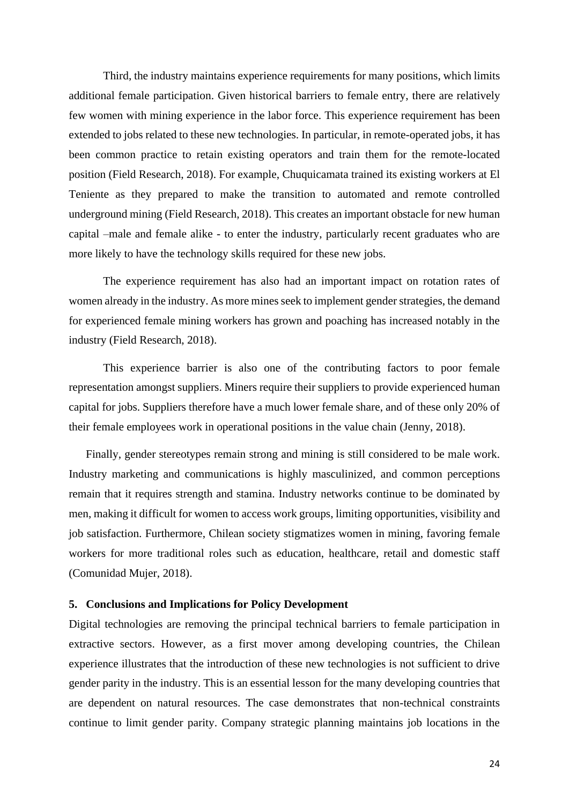Third, the industry maintains experience requirements for many positions, which limits additional female participation. Given historical barriers to female entry, there are relatively few women with mining experience in the labor force. This experience requirement has been extended to jobs related to these new technologies. In particular, in remote-operated jobs, it has been common practice to retain existing operators and train them for the remote-located position (Field Research, 2018). For example, Chuquicamata trained its existing workers at El Teniente as they prepared to make the transition to automated and remote controlled underground mining (Field Research, 2018). This creates an important obstacle for new human capital –male and female alike - to enter the industry, particularly recent graduates who are more likely to have the technology skills required for these new jobs.

The experience requirement has also had an important impact on rotation rates of women already in the industry. As more mines seek to implement gender strategies, the demand for experienced female mining workers has grown and poaching has increased notably in the industry (Field Research, 2018).

This experience barrier is also one of the contributing factors to poor female representation amongst suppliers. Miners require their suppliers to provide experienced human capital for jobs. Suppliers therefore have a much lower female share, and of these only 20% of their female employees work in operational positions in the value chain (Jenny, 2018).

Finally, gender stereotypes remain strong and mining is still considered to be male work. Industry marketing and communications is highly masculinized, and common perceptions remain that it requires strength and stamina. Industry networks continue to be dominated by men, making it difficult for women to access work groups, limiting opportunities, visibility and job satisfaction. Furthermore, Chilean society stigmatizes women in mining, favoring female workers for more traditional roles such as education, healthcare, retail and domestic staff (Comunidad Mujer, 2018).

### **5. Conclusions and Implications for Policy Development**

Digital technologies are removing the principal technical barriers to female participation in extractive sectors. However, as a first mover among developing countries, the Chilean experience illustrates that the introduction of these new technologies is not sufficient to drive gender parity in the industry. This is an essential lesson for the many developing countries that are dependent on natural resources. The case demonstrates that non-technical constraints continue to limit gender parity. Company strategic planning maintains job locations in the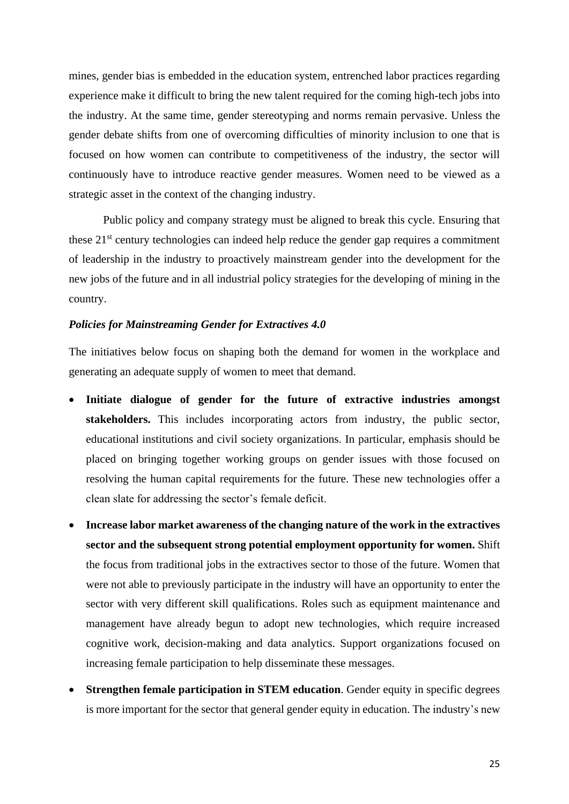mines, gender bias is embedded in the education system, entrenched labor practices regarding experience make it difficult to bring the new talent required for the coming high-tech jobs into the industry. At the same time, gender stereotyping and norms remain pervasive. Unless the gender debate shifts from one of overcoming difficulties of minority inclusion to one that is focused on how women can contribute to competitiveness of the industry, the sector will continuously have to introduce reactive gender measures. Women need to be viewed as a strategic asset in the context of the changing industry.

Public policy and company strategy must be aligned to break this cycle. Ensuring that these 21<sup>st</sup> century technologies can indeed help reduce the gender gap requires a commitment of leadership in the industry to proactively mainstream gender into the development for the new jobs of the future and in all industrial policy strategies for the developing of mining in the country.

### *Policies for Mainstreaming Gender for Extractives 4.0*

The initiatives below focus on shaping both the demand for women in the workplace and generating an adequate supply of women to meet that demand.

- **Initiate dialogue of gender for the future of extractive industries amongst stakeholders.** This includes incorporating actors from industry, the public sector, educational institutions and civil society organizations. In particular, emphasis should be placed on bringing together working groups on gender issues with those focused on resolving the human capital requirements for the future. These new technologies offer a clean slate for addressing the sector's female deficit.
- **Increase labor market awareness of the changing nature of the work in the extractives sector and the subsequent strong potential employment opportunity for women.** Shift the focus from traditional jobs in the extractives sector to those of the future. Women that were not able to previously participate in the industry will have an opportunity to enter the sector with very different skill qualifications. Roles such as equipment maintenance and management have already begun to adopt new technologies, which require increased cognitive work, decision-making and data analytics. Support organizations focused on increasing female participation to help disseminate these messages.
- **Strengthen female participation in STEM education**. Gender equity in specific degrees is more important for the sector that general gender equity in education. The industry's new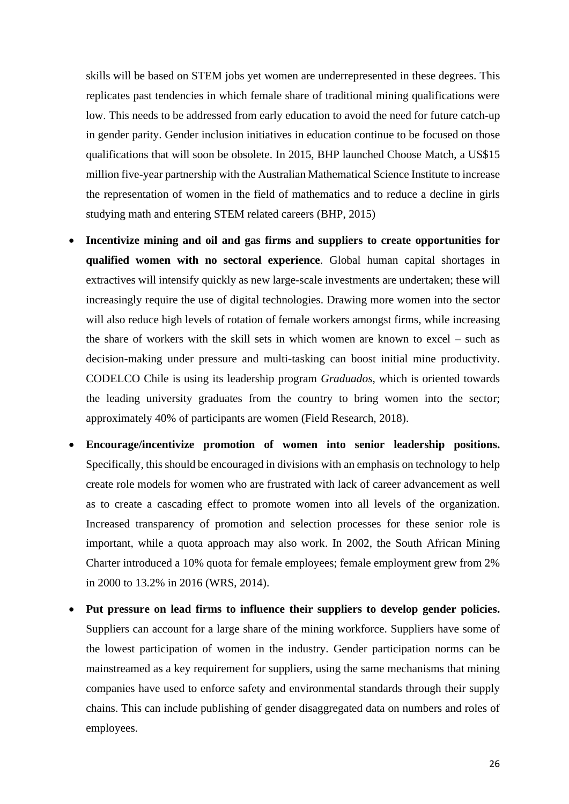skills will be based on STEM jobs yet women are underrepresented in these degrees. This replicates past tendencies in which female share of traditional mining qualifications were low. This needs to be addressed from early education to avoid the need for future catch-up in gender parity. Gender inclusion initiatives in education continue to be focused on those qualifications that will soon be obsolete. In 2015, BHP launched Choose Match, a US\$15 million five-year partnership with the Australian Mathematical Science Institute to increase the representation of women in the field of mathematics and to reduce a decline in girls studying math and entering STEM related careers (BHP, 2015)

- **Incentivize mining and oil and gas firms and suppliers to create opportunities for qualified women with no sectoral experience**. Global human capital shortages in extractives will intensify quickly as new large-scale investments are undertaken; these will increasingly require the use of digital technologies. Drawing more women into the sector will also reduce high levels of rotation of female workers amongst firms, while increasing the share of workers with the skill sets in which women are known to excel – such as decision-making under pressure and multi-tasking can boost initial mine productivity. CODELCO Chile is using its leadership program *Graduados*, which is oriented towards the leading university graduates from the country to bring women into the sector; approximately 40% of participants are women (Field Research, 2018).
- **Encourage/incentivize promotion of women into senior leadership positions.**  Specifically, this should be encouraged in divisions with an emphasis on technology to help create role models for women who are frustrated with lack of career advancement as well as to create a cascading effect to promote women into all levels of the organization. Increased transparency of promotion and selection processes for these senior role is important, while a quota approach may also work. In 2002, the South African Mining Charter introduced a 10% quota for female employees; female employment grew from 2% in 2000 to 13.2% in 2016 (WRS, 2014).
- **Put pressure on lead firms to influence their suppliers to develop gender policies.**  Suppliers can account for a large share of the mining workforce. Suppliers have some of the lowest participation of women in the industry. Gender participation norms can be mainstreamed as a key requirement for suppliers, using the same mechanisms that mining companies have used to enforce safety and environmental standards through their supply chains. This can include publishing of gender disaggregated data on numbers and roles of employees.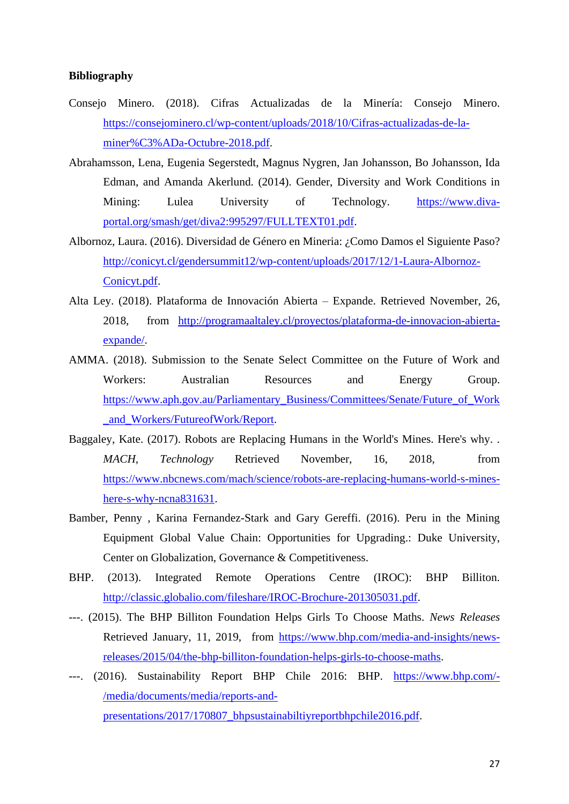### **Bibliography**

- Consejo Minero. (2018). Cifras Actualizadas de la Minería: Consejo Minero. [https://consejominero.cl/wp-content/uploads/2018/10/Cifras-actualizadas-de-la](https://consejominero.cl/wp-content/uploads/2018/10/Cifras-actualizadas-de-la-miner%C3%ADa-Octubre-2018.pdf)[miner%C3%ADa-Octubre-2018.pdf.](https://consejominero.cl/wp-content/uploads/2018/10/Cifras-actualizadas-de-la-miner%C3%ADa-Octubre-2018.pdf)
- Abrahamsson, Lena, Eugenia Segerstedt, Magnus Nygren, Jan Johansson, Bo Johansson, Ida Edman, and Amanda Akerlund. (2014). Gender, Diversity and Work Conditions in Mining: Lulea University of Technology. [https://www.diva](https://www.diva-portal.org/smash/get/diva2:995297/FULLTEXT01.pdf)[portal.org/smash/get/diva2:995297/FULLTEXT01.pdf.](https://www.diva-portal.org/smash/get/diva2:995297/FULLTEXT01.pdf)
- Albornoz, Laura. (2016). Diversidad de Género en Mineria: ¿Como Damos el Siguiente Paso? [http://conicyt.cl/gendersummit12/wp-content/uploads/2017/12/1-Laura-Albornoz-](http://conicyt.cl/gendersummit12/wp-content/uploads/2017/12/1-Laura-Albornoz-Conicyt.pdf)[Conicyt.pdf.](http://conicyt.cl/gendersummit12/wp-content/uploads/2017/12/1-Laura-Albornoz-Conicyt.pdf)
- Alta Ley. (2018). Plataforma de Innovación Abierta Expande. Retrieved November, 26, 2018, from [http://programaaltaley.cl/proyectos/plataforma-de-innovacion-abierta](http://programaaltaley.cl/proyectos/plataforma-de-innovacion-abierta-expande/)[expande/.](http://programaaltaley.cl/proyectos/plataforma-de-innovacion-abierta-expande/)
- AMMA. (2018). Submission to the Senate Select Committee on the Future of Work and Workers: Australian Resources and Energy Group. [https://www.aph.gov.au/Parliamentary\\_Business/Committees/Senate/Future\\_of\\_Work](https://www.aph.gov.au/Parliamentary_Business/Committees/Senate/Future_of_Work_and_Workers/FutureofWork/Report) [\\_and\\_Workers/FutureofWork/Report.](https://www.aph.gov.au/Parliamentary_Business/Committees/Senate/Future_of_Work_and_Workers/FutureofWork/Report)
- Baggaley, Kate. (2017). Robots are Replacing Humans in the World's Mines. Here's why. . *MACH, Technology* Retrieved November, 16, 2018, from [https://www.nbcnews.com/mach/science/robots-are-replacing-humans-world-s-mines](https://www.nbcnews.com/mach/science/robots-are-replacing-humans-world-s-mines-here-s-why-ncna831631)[here-s-why-ncna831631.](https://www.nbcnews.com/mach/science/robots-are-replacing-humans-world-s-mines-here-s-why-ncna831631)
- Bamber, Penny , Karina Fernandez-Stark and Gary Gereffi. (2016). Peru in the Mining Equipment Global Value Chain: Opportunities for Upgrading.: Duke University, Center on Globalization, Governance & Competitiveness.
- BHP. (2013). Integrated Remote Operations Centre (IROC): BHP Billiton. [http://classic.globalio.com/fileshare/IROC-Brochure-201305031.pdf.](http://classic.globalio.com/fileshare/IROC-Brochure-201305031.pdf)
- ---. (2015). The BHP Billiton Foundation Helps Girls To Choose Maths. *News Releases* Retrieved January, 11, 2019, from [https://www.bhp.com/media-and-insights/news](https://www.bhp.com/media-and-insights/news-releases/2015/04/the-bhp-billiton-foundation-helps-girls-to-choose-maths)[releases/2015/04/the-bhp-billiton-foundation-helps-girls-to-choose-maths.](https://www.bhp.com/media-and-insights/news-releases/2015/04/the-bhp-billiton-foundation-helps-girls-to-choose-maths)
- ---. (2016). Sustainability Report BHP Chile 2016: BHP. [https://www.bhp.com/-](https://www.bhp.com/-/media/documents/media/reports-and-presentations/2017/170807_bhpsustainabiltiyreportbhpchile2016.pdf) [/media/documents/media/reports-and](https://www.bhp.com/-/media/documents/media/reports-and-presentations/2017/170807_bhpsustainabiltiyreportbhpchile2016.pdf)[presentations/2017/170807\\_bhpsustainabiltiyreportbhpchile2016.pdf.](https://www.bhp.com/-/media/documents/media/reports-and-presentations/2017/170807_bhpsustainabiltiyreportbhpchile2016.pdf)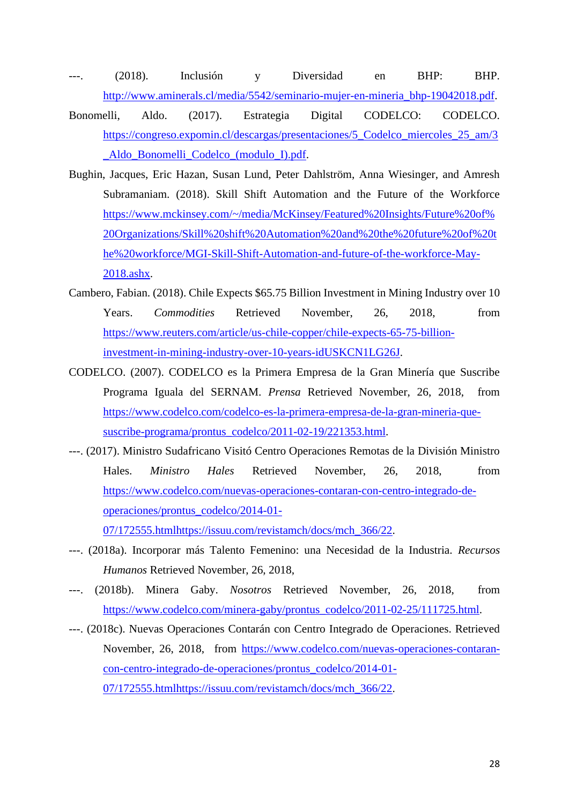- ---. (2018). Inclusión y Diversidad en BHP: BHP. [http://www.aminerals.cl/media/5542/seminario-mujer-en-mineria\\_bhp-19042018.pdf.](http://www.aminerals.cl/media/5542/seminario-mujer-en-mineria_bhp-19042018.pdf)
- Bonomelli, Aldo. (2017). Estrategia Digital CODELCO: CODELCO. https://congreso.expomin.cl/descargas/presentaciones/5 Codelco miercoles 25 am/3 [\\_Aldo\\_Bonomelli\\_Codelco\\_\(modulo\\_I\).pdf.](https://congreso.expomin.cl/descargas/presentaciones/5_Codelco_miercoles_25_am/3_Aldo_Bonomelli_Codelco_(modulo_I).pdf)
- Bughin, Jacques, Eric Hazan, Susan Lund, Peter Dahlström, Anna Wiesinger, and Amresh Subramaniam. (2018). Skill Shift Automation and the Future of the Workforce [https://www.mckinsey.com/~/media/McKinsey/Featured%20Insights/Future%20of%](https://www.mckinsey.com/~/media/McKinsey/Featured%20Insights/Future%20of%20Organizations/Skill%20shift%20Automation%20and%20the%20future%20of%20the%20workforce/MGI-Skill-Shift-Automation-and-future-of-the-workforce-May-2018.ashx) [20Organizations/Skill%20shift%20Automation%20and%20the%20future%20of%20t](https://www.mckinsey.com/~/media/McKinsey/Featured%20Insights/Future%20of%20Organizations/Skill%20shift%20Automation%20and%20the%20future%20of%20the%20workforce/MGI-Skill-Shift-Automation-and-future-of-the-workforce-May-2018.ashx) [he%20workforce/MGI-Skill-Shift-Automation-and-future-of-the-workforce-May-](https://www.mckinsey.com/~/media/McKinsey/Featured%20Insights/Future%20of%20Organizations/Skill%20shift%20Automation%20and%20the%20future%20of%20the%20workforce/MGI-Skill-Shift-Automation-and-future-of-the-workforce-May-2018.ashx)[2018.ashx.](https://www.mckinsey.com/~/media/McKinsey/Featured%20Insights/Future%20of%20Organizations/Skill%20shift%20Automation%20and%20the%20future%20of%20the%20workforce/MGI-Skill-Shift-Automation-and-future-of-the-workforce-May-2018.ashx)
- Cambero, Fabian. (2018). Chile Expects \$65.75 Billion Investment in Mining Industry over 10 Years. *Commodities* Retrieved November, 26, 2018, from [https://www.reuters.com/article/us-chile-copper/chile-expects-65-75-billion](https://www.reuters.com/article/us-chile-copper/chile-expects-65-75-billion-investment-in-mining-industry-over-10-years-idUSKCN1LG26J)[investment-in-mining-industry-over-10-years-idUSKCN1LG26J.](https://www.reuters.com/article/us-chile-copper/chile-expects-65-75-billion-investment-in-mining-industry-over-10-years-idUSKCN1LG26J)
- CODELCO. (2007). CODELCO es la Primera Empresa de la Gran Minería que Suscribe Programa Iguala del SERNAM. *Prensa* Retrieved November, 26, 2018, from [https://www.codelco.com/codelco-es-la-primera-empresa-de-la-gran-mineria-que](https://www.codelco.com/codelco-es-la-primera-empresa-de-la-gran-mineria-que-suscribe-programa/prontus_codelco/2011-02-19/221353.html)[suscribe-programa/prontus\\_codelco/2011-02-19/221353.html.](https://www.codelco.com/codelco-es-la-primera-empresa-de-la-gran-mineria-que-suscribe-programa/prontus_codelco/2011-02-19/221353.html)
- ---. (2017). Ministro Sudafricano Visitó Centro Operaciones Remotas de la División Ministro Hales. *Ministro Hales* Retrieved November, 26, 2018, from [https://www.codelco.com/nuevas-operaciones-contaran-con-centro-integrado-de](https://www.codelco.com/nuevas-operaciones-contaran-con-centro-integrado-de-operaciones/prontus_codelco/2014-01-07/172555.htmlhttps:/issuu.com/revistamch/docs/mch_366/22)[operaciones/prontus\\_codelco/2014-01-](https://www.codelco.com/nuevas-operaciones-contaran-con-centro-integrado-de-operaciones/prontus_codelco/2014-01-07/172555.htmlhttps:/issuu.com/revistamch/docs/mch_366/22)

[07/172555.htmlhttps://issuu.com/revistamch/docs/mch\\_366/22.](https://www.codelco.com/nuevas-operaciones-contaran-con-centro-integrado-de-operaciones/prontus_codelco/2014-01-07/172555.htmlhttps:/issuu.com/revistamch/docs/mch_366/22)

- ---. (2018a). Incorporar más Talento Femenino: una Necesidad de la Industria. *Recursos Humanos* Retrieved November, 26, 2018,
- ---. (2018b). Minera Gaby. *Nosotros* Retrieved November, 26, 2018, from [https://www.codelco.com/minera-gaby/prontus\\_codelco/2011-02-25/111725.html.](https://www.codelco.com/minera-gaby/prontus_codelco/2011-02-25/111725.html)
- ---. (2018c). Nuevas Operaciones Contarán con Centro Integrado de Operaciones. Retrieved November, 26, 2018, from [https://www.codelco.com/nuevas-operaciones-contaran](https://www.codelco.com/nuevas-operaciones-contaran-con-centro-integrado-de-operaciones/prontus_codelco/2014-01-07/172555.htmlhttps:/issuu.com/revistamch/docs/mch_366/22)[con-centro-integrado-de-operaciones/prontus\\_codelco/2014-01-](https://www.codelco.com/nuevas-operaciones-contaran-con-centro-integrado-de-operaciones/prontus_codelco/2014-01-07/172555.htmlhttps:/issuu.com/revistamch/docs/mch_366/22) [07/172555.htmlhttps://issuu.com/revistamch/docs/mch\\_366/22.](https://www.codelco.com/nuevas-operaciones-contaran-con-centro-integrado-de-operaciones/prontus_codelco/2014-01-07/172555.htmlhttps:/issuu.com/revistamch/docs/mch_366/22)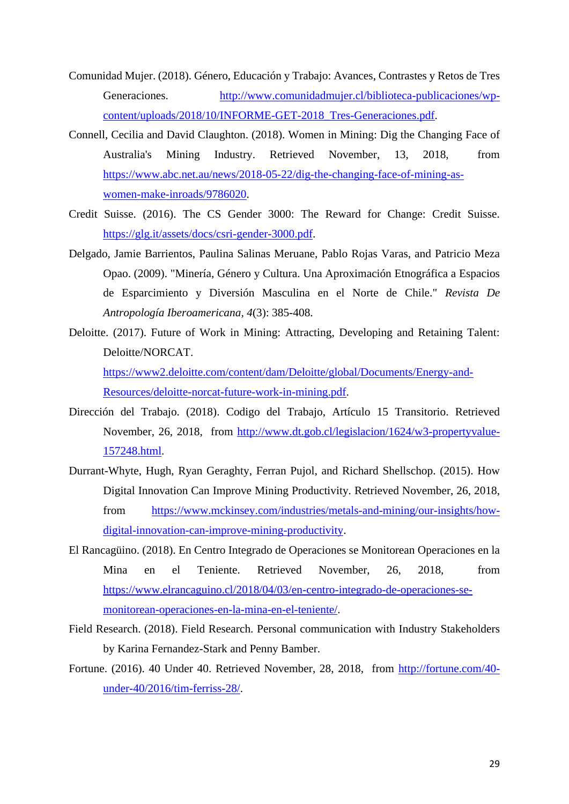- Comunidad Mujer. (2018). Género, Educación y Trabajo: Avances, Contrastes y Retos de Tres Generaciones. [http://www.comunidadmujer.cl/biblioteca-publicaciones/wp](http://www.comunidadmujer.cl/biblioteca-publicaciones/wp-content/uploads/2018/10/INFORME-GET-2018_Tres-Generaciones.pdf)[content/uploads/2018/10/INFORME-GET-2018\\_Tres-Generaciones.pdf.](http://www.comunidadmujer.cl/biblioteca-publicaciones/wp-content/uploads/2018/10/INFORME-GET-2018_Tres-Generaciones.pdf)
- Connell, Cecilia and David Claughton. (2018). Women in Mining: Dig the Changing Face of Australia's Mining Industry. Retrieved November, 13, 2018, from [https://www.abc.net.au/news/2018-05-22/dig-the-changing-face-of-mining-as](https://www.abc.net.au/news/2018-05-22/dig-the-changing-face-of-mining-as-women-make-inroads/9786020)[women-make-inroads/9786020.](https://www.abc.net.au/news/2018-05-22/dig-the-changing-face-of-mining-as-women-make-inroads/9786020)
- Credit Suisse. (2016). The CS Gender 3000: The Reward for Change: Credit Suisse. [https://glg.it/assets/docs/csri-gender-3000.pdf.](https://glg.it/assets/docs/csri-gender-3000.pdf)
- Delgado, Jamie Barrientos, Paulina Salinas Meruane, Pablo Rojas Varas, and Patricio Meza Opao. (2009). "Minería, Género y Cultura. Una Aproximación Etnográfica a Espacios de Esparcimiento y Diversión Masculina en el Norte de Chile." *Revista De Antropología Iberoamericana, 4*(3): 385-408.
- Deloitte. (2017). Future of Work in Mining: Attracting, Developing and Retaining Talent: Deloitte/NORCAT. [https://www2.deloitte.com/content/dam/Deloitte/global/Documents/Energy-and-](https://www2.deloitte.com/content/dam/Deloitte/global/Documents/Energy-and-Resources/deloitte-norcat-future-work-in-mining.pdf)[Resources/deloitte-norcat-future-work-in-mining.pdf.](https://www2.deloitte.com/content/dam/Deloitte/global/Documents/Energy-and-Resources/deloitte-norcat-future-work-in-mining.pdf)
- Dirección del Trabajo. (2018). Codigo del Trabajo, Artículo 15 Transitorio. Retrieved November, 26, 2018, from [http://www.dt.gob.cl/legislacion/1624/w3-propertyvalue-](http://www.dt.gob.cl/legislacion/1624/w3-propertyvalue-157248.html)[157248.html.](http://www.dt.gob.cl/legislacion/1624/w3-propertyvalue-157248.html)
- Durrant-Whyte, Hugh, Ryan Geraghty, Ferran Pujol, and Richard Shellschop. (2015). How Digital Innovation Can Improve Mining Productivity. Retrieved November, 26, 2018, from [https://www.mckinsey.com/industries/metals-and-mining/our-insights/how](https://www.mckinsey.com/industries/metals-and-mining/our-insights/how-digital-innovation-can-improve-mining-productivity)[digital-innovation-can-improve-mining-productivity.](https://www.mckinsey.com/industries/metals-and-mining/our-insights/how-digital-innovation-can-improve-mining-productivity)
- El Rancagüino. (2018). En Centro Integrado de Operaciones se Monitorean Operaciones en la Mina en el Teniente. Retrieved November, 26, 2018, from [https://www.elrancaguino.cl/2018/04/03/en-centro-integrado-de-operaciones-se](https://www.elrancaguino.cl/2018/04/03/en-centro-integrado-de-operaciones-se-monitorean-operaciones-en-la-mina-en-el-teniente/)[monitorean-operaciones-en-la-mina-en-el-teniente/.](https://www.elrancaguino.cl/2018/04/03/en-centro-integrado-de-operaciones-se-monitorean-operaciones-en-la-mina-en-el-teniente/)
- Field Research. (2018). Field Research. Personal communication with Industry Stakeholders by Karina Fernandez-Stark and Penny Bamber.
- Fortune. (2016). 40 Under 40. Retrieved November, 28, 2018, from [http://fortune.com/40](http://fortune.com/40-under-40/2016/tim-ferriss-28/) [under-40/2016/tim-ferriss-28/.](http://fortune.com/40-under-40/2016/tim-ferriss-28/)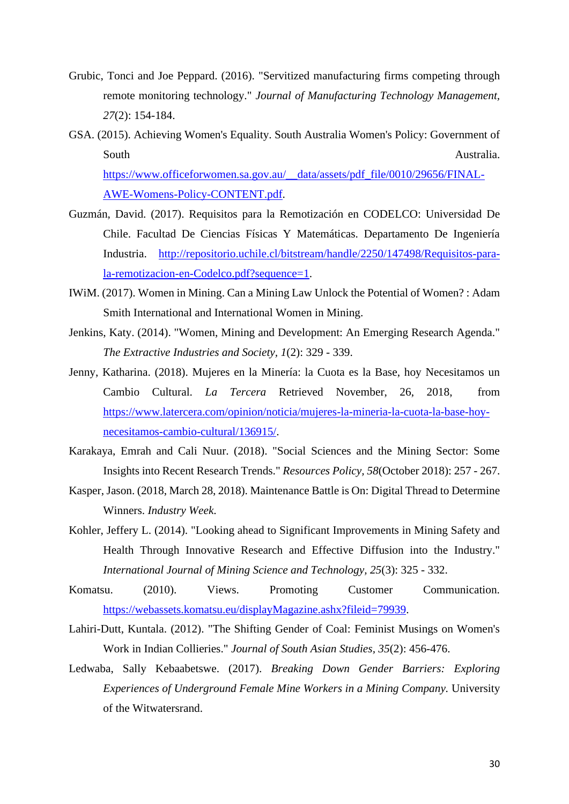- Grubic, Tonci and Joe Peppard. (2016). "Servitized manufacturing firms competing through remote monitoring technology." *Journal of Manufacturing Technology Management, 27*(2): 154-184.
- GSA. (2015). Achieving Women's Equality. South Australia Women's Policy: Government of South Australia. [https://www.officeforwomen.sa.gov.au/\\_\\_data/assets/pdf\\_file/0010/29656/FINAL-](https://www.officeforwomen.sa.gov.au/__data/assets/pdf_file/0010/29656/FINAL-AWE-Womens-Policy-CONTENT.pdf)[AWE-Womens-Policy-CONTENT.pdf.](https://www.officeforwomen.sa.gov.au/__data/assets/pdf_file/0010/29656/FINAL-AWE-Womens-Policy-CONTENT.pdf)
- Guzmán, David. (2017). Requisitos para la Remotización en CODELCO: Universidad De Chile. Facultad De Ciencias Físicas Y Matemáticas. Departamento De Ingeniería Industria. [http://repositorio.uchile.cl/bitstream/handle/2250/147498/Requisitos-para](http://repositorio.uchile.cl/bitstream/handle/2250/147498/Requisitos-para-la-remotizacion-en-Codelco.pdf?sequence=1)[la-remotizacion-en-Codelco.pdf?sequence=1.](http://repositorio.uchile.cl/bitstream/handle/2250/147498/Requisitos-para-la-remotizacion-en-Codelco.pdf?sequence=1)
- IWiM. (2017). Women in Mining. Can a Mining Law Unlock the Potential of Women? : Adam Smith International and International Women in Mining.
- Jenkins, Katy. (2014). "Women, Mining and Development: An Emerging Research Agenda." *The Extractive Industries and Society, 1*(2): 329 - 339.
- Jenny, Katharina. (2018). Mujeres en la Minería: la Cuota es la Base, hoy Necesitamos un Cambio Cultural. *La Tercera* Retrieved November, 26, 2018, from [https://www.latercera.com/opinion/noticia/mujeres-la-mineria-la-cuota-la-base-hoy](https://www.latercera.com/opinion/noticia/mujeres-la-mineria-la-cuota-la-base-hoy-necesitamos-cambio-cultural/136915/)[necesitamos-cambio-cultural/136915/.](https://www.latercera.com/opinion/noticia/mujeres-la-mineria-la-cuota-la-base-hoy-necesitamos-cambio-cultural/136915/)
- Karakaya, Emrah and Cali Nuur. (2018). "Social Sciences and the Mining Sector: Some Insights into Recent Research Trends." *Resources Policy, 58*(October 2018): 257 - 267.
- Kasper, Jason. (2018, March 28, 2018). Maintenance Battle is On: Digital Thread to Determine Winners. *Industry Week*.
- Kohler, Jeffery L. (2014). "Looking ahead to Significant Improvements in Mining Safety and Health Through Innovative Research and Effective Diffusion into the Industry." *International Journal of Mining Science and Technology, 25*(3): 325 - 332.
- Komatsu. (2010). Views. Promoting Customer Communication. [https://webassets.komatsu.eu/displayMagazine.ashx?fileid=79939.](https://webassets.komatsu.eu/displayMagazine.ashx?fileid=79939)
- Lahiri-Dutt, Kuntala. (2012). "The Shifting Gender of Coal: Feminist Musings on Women's Work in Indian Collieries." *Journal of South Asian Studies, 35*(2): 456-476.
- Ledwaba, Sally Kebaabetswe. (2017). *Breaking Down Gender Barriers: Exploring Experiences of Underground Female Mine Workers in a Mining Company.* University of the Witwatersrand.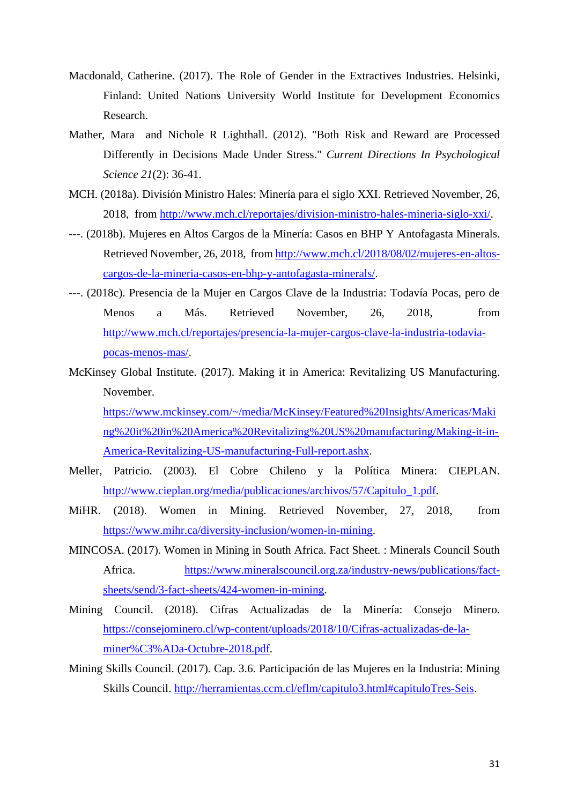- Macdonald, Catherine. (2017). The Role of Gender in the Extractives Industries. Helsinki, Finland: United Nations University World Institute for Development Economics Research.
- Mather, Mara and Nichole R Lighthall. (2012). "Both Risk and Reward are Processed Differently in Decisions Made Under Stress." *Current Directions In Psychological Science 21*(2): 36-41.
- MCH. (2018a). División Ministro Hales: Minería para el siglo XXI. Retrieved November, 26, 2018, from [http://www.mch.cl/reportajes/division-ministro-hales-mineria-siglo-xxi/.](http://www.mch.cl/reportajes/division-ministro-hales-mineria-siglo-xxi/)
- ---. (2018b). Mujeres en Altos Cargos de la Minería: Casos en BHP Y Antofagasta Minerals. Retrieved November, 26, 2018, from [http://www.mch.cl/2018/08/02/mujeres-en-altos](http://www.mch.cl/2018/08/02/mujeres-en-altos-cargos-de-la-mineria-casos-en-bhp-y-antofagasta-minerals/)[cargos-de-la-mineria-casos-en-bhp-y-antofagasta-minerals/.](http://www.mch.cl/2018/08/02/mujeres-en-altos-cargos-de-la-mineria-casos-en-bhp-y-antofagasta-minerals/)
- ---. (2018c). Presencia de la Mujer en Cargos Clave de la Industria: Todavía Pocas, pero de Menos a Más. Retrieved November, 26, 2018, from [http://www.mch.cl/reportajes/presencia-la-mujer-cargos-clave-la-industria-todavia](http://www.mch.cl/reportajes/presencia-la-mujer-cargos-clave-la-industria-todavia-pocas-menos-mas/)[pocas-menos-mas/.](http://www.mch.cl/reportajes/presencia-la-mujer-cargos-clave-la-industria-todavia-pocas-menos-mas/)
- McKinsey Global Institute. (2017). Making it in America: Revitalizing US Manufacturing. November. [https://www.mckinsey.com/~/media/McKinsey/Featured%20Insights/Americas/Maki](https://www.mckinsey.com/~/media/McKinsey/Featured%20Insights/Americas/Making%20it%20in%20America%20Revitalizing%20US%20manufacturing/Making-it-in-America-Revitalizing-US-manufacturing-Full-report.ashx)

[ng%20it%20in%20America%20Revitalizing%20US%20manufacturing/Making-it-in-](https://www.mckinsey.com/~/media/McKinsey/Featured%20Insights/Americas/Making%20it%20in%20America%20Revitalizing%20US%20manufacturing/Making-it-in-America-Revitalizing-US-manufacturing-Full-report.ashx)[America-Revitalizing-US-manufacturing-Full-report.ashx.](https://www.mckinsey.com/~/media/McKinsey/Featured%20Insights/Americas/Making%20it%20in%20America%20Revitalizing%20US%20manufacturing/Making-it-in-America-Revitalizing-US-manufacturing-Full-report.ashx)

- Meller, Patricio. (2003). El Cobre Chileno y la Política Minera: CIEPLAN. [http://www.cieplan.org/media/publicaciones/archivos/57/Capitulo\\_1.pdf.](http://www.cieplan.org/media/publicaciones/archivos/57/Capitulo_1.pdf)
- MiHR. (2018). Women in Mining. Retrieved November, 27, 2018, from [https://www.mihr.ca/diversity-inclusion/women-in-mining.](https://www.mihr.ca/diversity-inclusion/women-in-mining)
- MINCOSA. (2017). Women in Mining in South Africa. Fact Sheet. : Minerals Council South Africa. [https://www.mineralscouncil.org.za/industry-news/publications/fact](https://www.mineralscouncil.org.za/industry-news/publications/fact-sheets/send/3-fact-sheets/424-women-in-mining)[sheets/send/3-fact-sheets/424-women-in-mining.](https://www.mineralscouncil.org.za/industry-news/publications/fact-sheets/send/3-fact-sheets/424-women-in-mining)
- Mining Council. (2018). Cifras Actualizadas de la Minería: Consejo Minero. [https://consejominero.cl/wp-content/uploads/2018/10/Cifras-actualizadas-de-la](https://consejominero.cl/wp-content/uploads/2018/10/Cifras-actualizadas-de-la-miner%C3%ADa-Octubre-2018.pdf)[miner%C3%ADa-Octubre-2018.pdf.](https://consejominero.cl/wp-content/uploads/2018/10/Cifras-actualizadas-de-la-miner%C3%ADa-Octubre-2018.pdf)
- Mining Skills Council. (2017). Cap. 3.6. Participación de las Mujeres en la Industria: Mining Skills Council. [http://herramientas.ccm.cl/eflm/capitulo3.html#capituloTres-Seis.](http://herramientas.ccm.cl/eflm/capitulo3.html#capituloTres-Seis)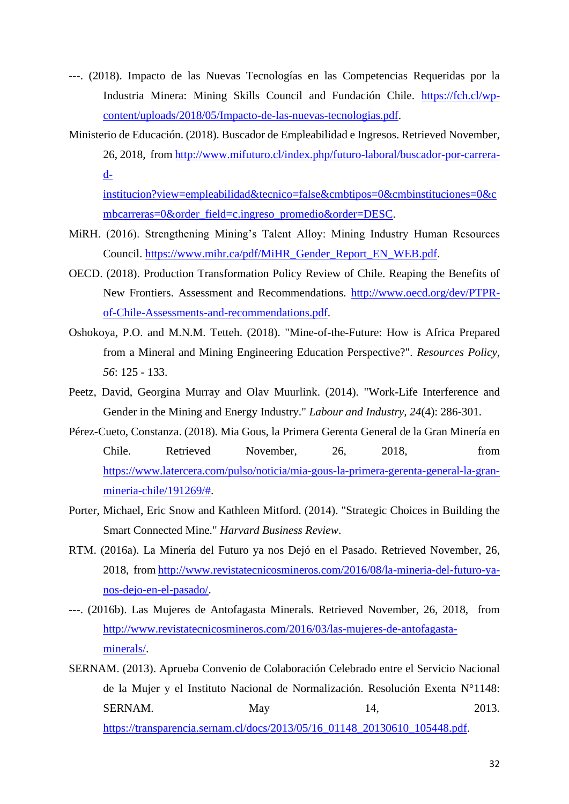- ---. (2018). Impacto de las Nuevas Tecnologías en las Competencias Requeridas por la Industria Minera: Mining Skills Council and Fundación Chile. [https://fch.cl/wp](https://fch.cl/wp-content/uploads/2018/05/Impacto-de-las-nuevas-tecnologias.pdf)[content/uploads/2018/05/Impacto-de-las-nuevas-tecnologias.pdf.](https://fch.cl/wp-content/uploads/2018/05/Impacto-de-las-nuevas-tecnologias.pdf)
- Ministerio de Educación. (2018). Buscador de Empleabilidad e Ingresos. Retrieved November, 26, 2018, from [http://www.mifuturo.cl/index.php/futuro-laboral/buscador-por-carrera](http://www.mifuturo.cl/index.php/futuro-laboral/buscador-por-carrera-d-institucion?view=empleabilidad&tecnico=false&cmbtipos=0&cmbinstituciones=0&cmbcarreras=0&order_field=c.ingreso_promedio&order=DESC)[d-](http://www.mifuturo.cl/index.php/futuro-laboral/buscador-por-carrera-d-institucion?view=empleabilidad&tecnico=false&cmbtipos=0&cmbinstituciones=0&cmbcarreras=0&order_field=c.ingreso_promedio&order=DESC)

[institucion?view=empleabilidad&tecnico=false&cmbtipos=0&cmbinstituciones=0&c](http://www.mifuturo.cl/index.php/futuro-laboral/buscador-por-carrera-d-institucion?view=empleabilidad&tecnico=false&cmbtipos=0&cmbinstituciones=0&cmbcarreras=0&order_field=c.ingreso_promedio&order=DESC) [mbcarreras=0&order\\_field=c.ingreso\\_promedio&order=DESC.](http://www.mifuturo.cl/index.php/futuro-laboral/buscador-por-carrera-d-institucion?view=empleabilidad&tecnico=false&cmbtipos=0&cmbinstituciones=0&cmbcarreras=0&order_field=c.ingreso_promedio&order=DESC)

- MiRH. (2016). Strengthening Mining's Talent Alloy: Mining Industry Human Resources Council. [https://www.mihr.ca/pdf/MiHR\\_Gender\\_Report\\_EN\\_WEB.pdf.](https://www.mihr.ca/pdf/MiHR_Gender_Report_EN_WEB.pdf)
- OECD. (2018). Production Transformation Policy Review of Chile. Reaping the Benefits of New Frontiers. Assessment and Recommendations. [http://www.oecd.org/dev/PTPR](http://www.oecd.org/dev/PTPR-of-Chile-Assessments-and-recommendations.pdf)[of-Chile-Assessments-and-recommendations.pdf.](http://www.oecd.org/dev/PTPR-of-Chile-Assessments-and-recommendations.pdf)
- Oshokoya, P.O. and M.N.M. Tetteh. (2018). "Mine-of-the-Future: How is Africa Prepared from a Mineral and Mining Engineering Education Perspective?". *Resources Policy, 56*: 125 - 133.
- Peetz, David, Georgina Murray and Olav Muurlink. (2014). "Work-Life Interference and Gender in the Mining and Energy Industry." *Labour and Industry, 24*(4): 286-301.
- Pérez-Cueto, Constanza. (2018). Mia Gous, la Primera Gerenta General de la Gran Minería en Chile. Retrieved November, 26, 2018, from [https://www.latercera.com/pulso/noticia/mia-gous-la-primera-gerenta-general-la-gran](https://www.latercera.com/pulso/noticia/mia-gous-la-primera-gerenta-general-la-gran-mineria-chile/191269/)[mineria-chile/191269/#.](https://www.latercera.com/pulso/noticia/mia-gous-la-primera-gerenta-general-la-gran-mineria-chile/191269/)
- Porter, Michael, Eric Snow and Kathleen Mitford. (2014). "Strategic Choices in Building the Smart Connected Mine." *Harvard Business Review*.
- RTM. (2016a). La Minería del Futuro ya nos Dejó en el Pasado. Retrieved November, 26, 2018, fro[m http://www.revistatecnicosmineros.com/2016/08/la-mineria-del-futuro-ya](http://www.revistatecnicosmineros.com/2016/08/la-mineria-del-futuro-ya-nos-dejo-en-el-pasado/)[nos-dejo-en-el-pasado/.](http://www.revistatecnicosmineros.com/2016/08/la-mineria-del-futuro-ya-nos-dejo-en-el-pasado/)
- ---. (2016b). Las Mujeres de Antofagasta Minerals. Retrieved November, 26, 2018, from [http://www.revistatecnicosmineros.com/2016/03/las-mujeres-de-antofagasta](http://www.revistatecnicosmineros.com/2016/03/las-mujeres-de-antofagasta-minerals/)[minerals/.](http://www.revistatecnicosmineros.com/2016/03/las-mujeres-de-antofagasta-minerals/)
- SERNAM. (2013). Aprueba Convenio de Colaboración Celebrado entre el Servicio Nacional de la Mujer y el Instituto Nacional de Normalización. Resolución Exenta N°1148: SERNAM. May 14, 2013. [https://transparencia.sernam.cl/docs/2013/05/16\\_01148\\_20130610\\_105448.pdf.](https://transparencia.sernam.cl/docs/2013/05/16_01148_20130610_105448.pdf)

32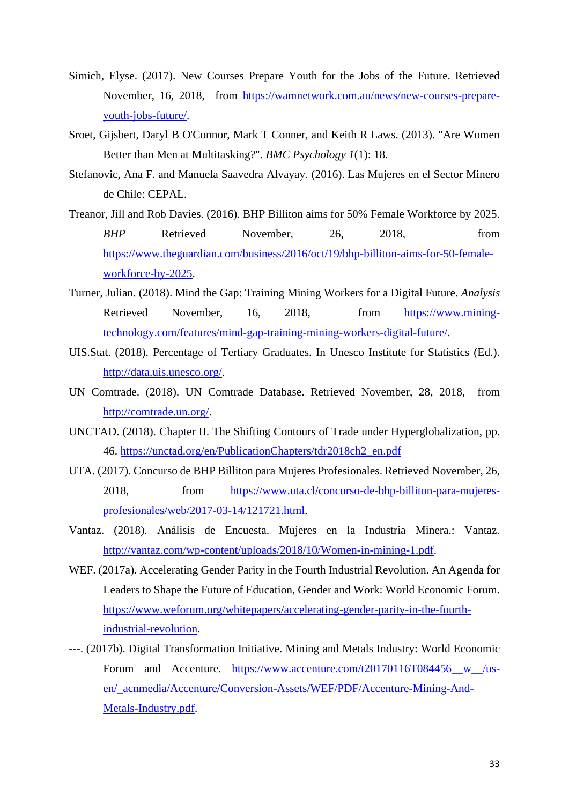- Simich, Elyse. (2017). New Courses Prepare Youth for the Jobs of the Future. Retrieved November, 16, 2018, from [https://wamnetwork.com.au/news/new-courses-prepare](https://wamnetwork.com.au/news/new-courses-prepare-youth-jobs-future/)[youth-jobs-future/.](https://wamnetwork.com.au/news/new-courses-prepare-youth-jobs-future/)
- Sroet, Gijsbert, Daryl B O'Connor, Mark T Conner, and Keith R Laws. (2013). "Are Women Better than Men at Multitasking?". *BMC Psychology 1*(1): 18.
- Stefanovic, Ana F. and Manuela Saavedra Alvayay. (2016). Las Mujeres en el Sector Minero de Chile: CEPAL.
- Treanor, Jill and Rob Davies. (2016). BHP Billiton aims for 50% Female Workforce by 2025. *BHP* Retrieved November, 26, 2018, from [https://www.theguardian.com/business/2016/oct/19/bhp-billiton-aims-for-50-female](https://www.theguardian.com/business/2016/oct/19/bhp-billiton-aims-for-50-female-workforce-by-2025)[workforce-by-2025.](https://www.theguardian.com/business/2016/oct/19/bhp-billiton-aims-for-50-female-workforce-by-2025)
- Turner, Julian. (2018). Mind the Gap: Training Mining Workers for a Digital Future. *Analysis* Retrieved November, 16, 2018, from [https://www.mining](https://www.mining-technology.com/features/mind-gap-training-mining-workers-digital-future/)[technology.com/features/mind-gap-training-mining-workers-digital-future/.](https://www.mining-technology.com/features/mind-gap-training-mining-workers-digital-future/)
- UIS.Stat. (2018). Percentage of Tertiary Graduates. In Unesco Institute for Statistics (Ed.). [http://data.uis.unesco.org/.](http://data.uis.unesco.org/)
- UN Comtrade. (2018). UN Comtrade Database. Retrieved November, 28, 2018, from [http://comtrade.un.org/.](http://comtrade.un.org/)
- UNCTAD. (2018). Chapter II. The Shifting Contours of Trade under Hyperglobalization, pp. 46. [https://unctad.org/en/PublicationChapters/tdr2018ch2\\_en.pdf](https://unctad.org/en/PublicationChapters/tdr2018ch2_en.pdf)
- UTA. (2017). Concurso de BHP Billiton para Mujeres Profesionales. Retrieved November, 26, 2018, from [https://www.uta.cl/concurso-de-bhp-billiton-para-mujeres](https://www.uta.cl/concurso-de-bhp-billiton-para-mujeres-profesionales/web/2017-03-14/121721.html)[profesionales/web/2017-03-14/121721.html.](https://www.uta.cl/concurso-de-bhp-billiton-para-mujeres-profesionales/web/2017-03-14/121721.html)
- Vantaz. (2018). Análisis de Encuesta. Mujeres en la Industria Minera.: Vantaz. [http://vantaz.com/wp-content/uploads/2018/10/Women-in-mining-1.pdf.](http://vantaz.com/wp-content/uploads/2018/10/Women-in-mining-1.pdf)
- WEF. (2017a). Accelerating Gender Parity in the Fourth Industrial Revolution. An Agenda for Leaders to Shape the Future of Education, Gender and Work: World Economic Forum. [https://www.weforum.org/whitepapers/accelerating-gender-parity-in-the-fourth](https://www.weforum.org/whitepapers/accelerating-gender-parity-in-the-fourth-industrial-revolution)[industrial-revolution.](https://www.weforum.org/whitepapers/accelerating-gender-parity-in-the-fourth-industrial-revolution)
- ---. (2017b). Digital Transformation Initiative. Mining and Metals Industry: World Economic Forum and Accenture. https://www.accenture.com/t20170116T084456 w /us[en/\\_acnmedia/Accenture/Conversion-Assets/WEF/PDF/Accenture-Mining-And-](https://www.accenture.com/t20170116T084456__w__/us-en/_acnmedia/Accenture/Conversion-Assets/WEF/PDF/Accenture-Mining-And-Metals-Industry.pdf)[Metals-Industry.pdf.](https://www.accenture.com/t20170116T084456__w__/us-en/_acnmedia/Accenture/Conversion-Assets/WEF/PDF/Accenture-Mining-And-Metals-Industry.pdf)